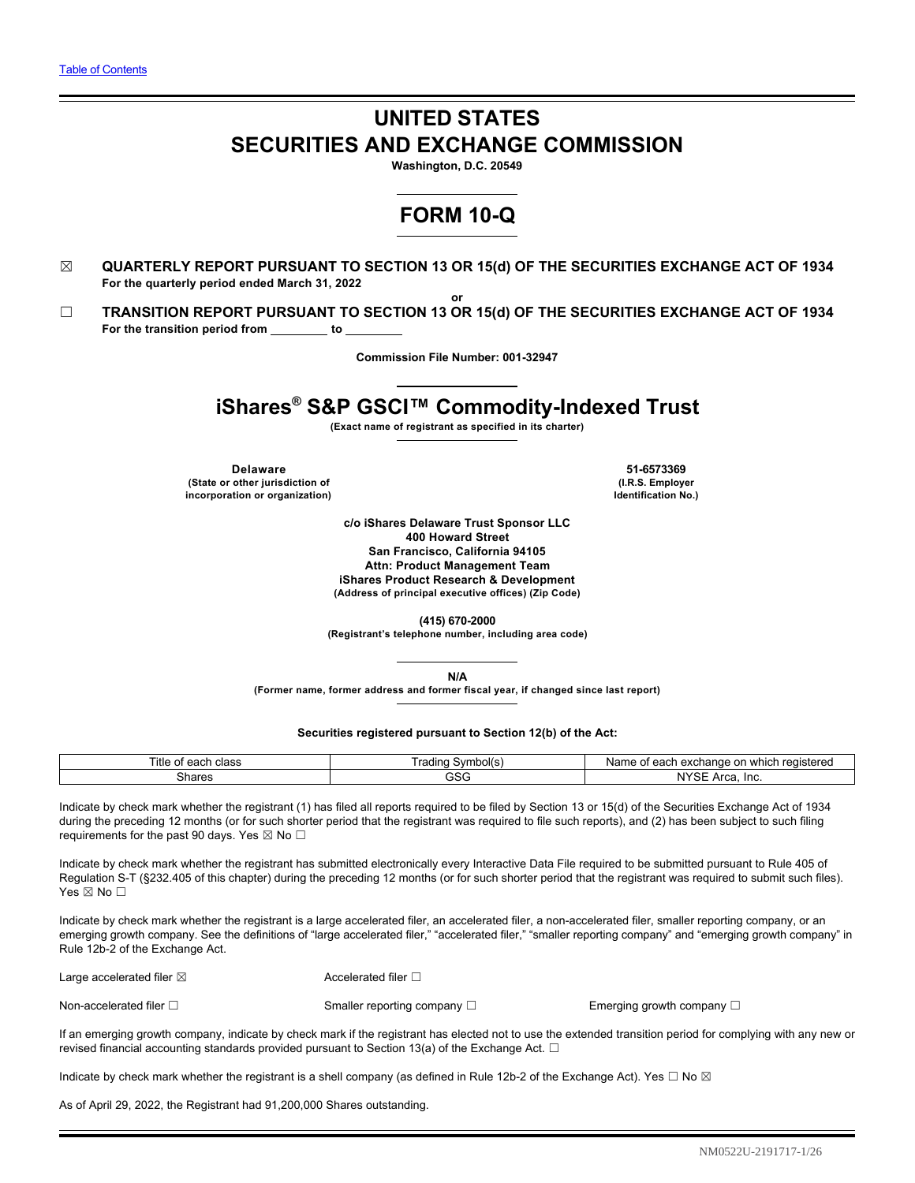# **UNITED STATES SECURITIES AND EXCHANGE COMMISSION**

**Washington, D.C. 20549**

# **FORM 10-Q**

- ☒ **QUARTERLY REPORT PURSUANT TO SECTION 13 OR 15(d) OF THE SECURITIES EXCHANGE ACT OF 1934 For the quarterly period ended March 31, 2022**
- **or** ☐ **TRANSITION REPORT PURSUANT TO SECTION 13 OR 15(d) OF THE SECURITIES EXCHANGE ACT OF 1934** For the transition period from \_\_\_\_\_\_\_\_ to

**Commission File Number: 001-32947**

## **iShares® S&P GSCI™ Commodity-Indexed Trust**

**(Exact name of registrant as specified in its charter)**

**Delaware 51-6573369 (State or other jurisdiction of (I.R.S. Employer incorporation or organization)** 

**c/o iShares Delaware Trust Sponsor LLC 400 Howard Street San Francisco, California 94105 Attn: Product Management Team iShares Product Research & Development (Address of principal executive offices) (Zip Code)**

**(415) 670-2000 (Registrant's telephone number, including area code)**

**N/A**

**(Former name, former address and former fiscal year, if changed since last report)**

**Securities registered pursuant to Section 12(b) of the Act:**

| $\sim$<br>itle of<br>class<br>. 022<br>cau : | rading<br>. ⊃vmbol(°∶ | i exchange<br>$\sim$<br>registereo<br>, which<br><b>Agor</b><br>name<br>cau<br>. |
|----------------------------------------------|-----------------------|----------------------------------------------------------------------------------|
| `hares                                       | $\sim$ $\sim$<br>نادت | NY'<br>$\Delta$ res<br>l n.<br>AICd<br>11 I V                                    |

Indicate by check mark whether the registrant (1) has filed all reports required to be filed by Section 13 or 15(d) of the Securities Exchange Act of 1934 during the preceding 12 months (or for such shorter period that the registrant was required to file such reports), and (2) has been subject to such filing requirements for the past 90 days. Yes  $\boxtimes$  No  $\Box$ 

Indicate by check mark whether the registrant has submitted electronically every Interactive Data File required to be submitted pursuant to Rule 405 of Regulation S-T (§232.405 of this chapter) during the preceding 12 months (or for such shorter period that the registrant was required to submit such files). Yes ⊠ No □

Indicate by check mark whether the registrant is a large accelerated filer, an accelerated filer, a non-accelerated filer, smaller reporting company, or an emerging growth company. See the definitions of "large accelerated filer," "accelerated filer," "smaller reporting company" and "emerging growth company" in Rule 12b-2 of the Exchange Act.

Large accelerated filer ⊠ accelerated filer **□** 

| Accelerated filer i |  |
|---------------------|--|
|                     |  |

Non-accelerated filer □ Smaller reporting company □ Temerging growth company □

If an emerging growth company, indicate by check mark if the registrant has elected not to use the extended transition period for complying with any new or revised financial accounting standards provided pursuant to Section 13(a) of the Exchange Act.  $\Box$ 

Indicate by check mark whether the registrant is a shell company (as defined in Rule 12b-2 of the Exchange Act). Yes  $\Box$  No  $\boxtimes$ 

As of April 29, 2022, the Registrant had 91,200,000 Shares outstanding.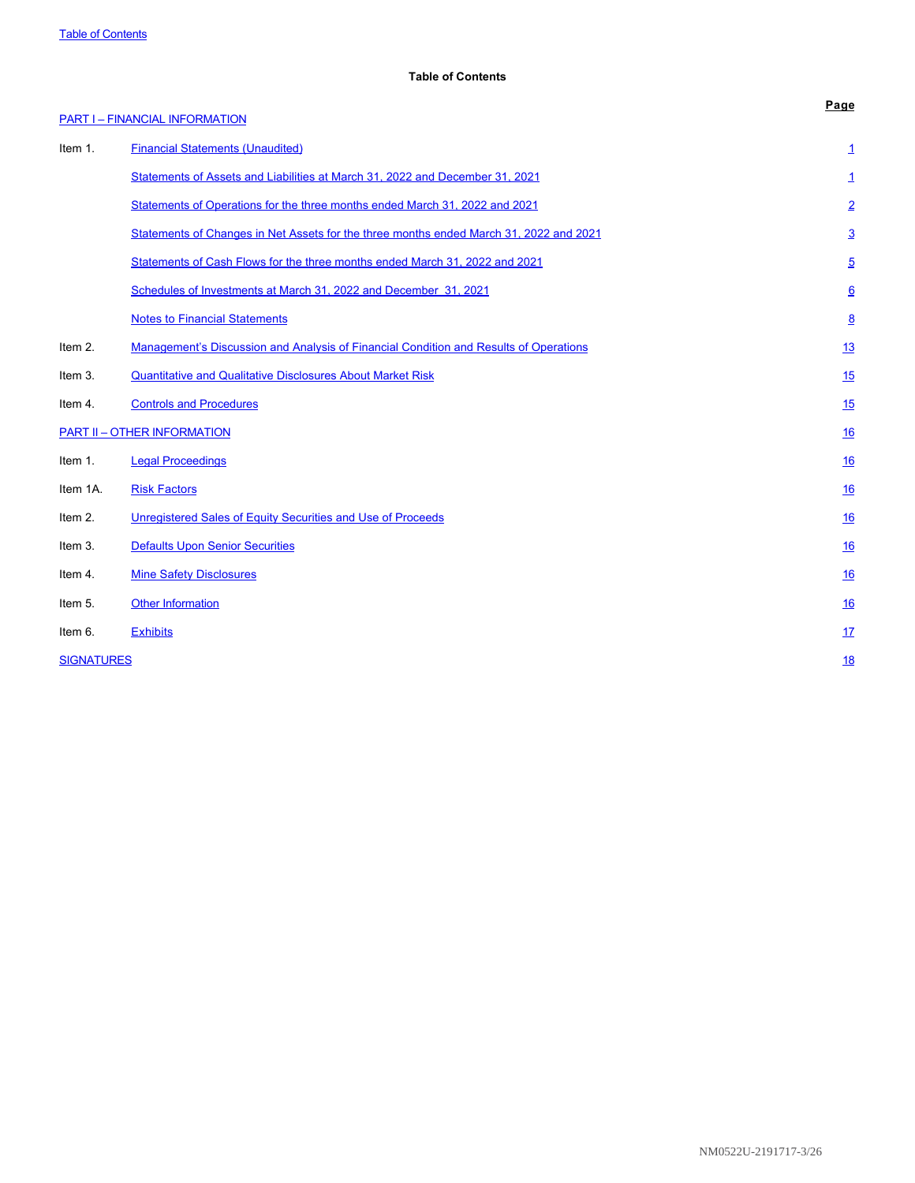## <span id="page-2-0"></span>**Table of Contents**

|                   | <b>PART I - FINANCIAL INFORMATION</b>                                                  | Page            |
|-------------------|----------------------------------------------------------------------------------------|-----------------|
| Item 1.           | <b>Financial Statements (Unaudited)</b>                                                | 1               |
|                   | Statements of Assets and Liabilities at March 31, 2022 and December 31, 2021           | 1               |
|                   | Statements of Operations for the three months ended March 31, 2022 and 2021            | $\overline{2}$  |
|                   | Statements of Changes in Net Assets for the three months ended March 31, 2022 and 2021 | $\overline{3}$  |
|                   | Statements of Cash Flows for the three months ended March 31, 2022 and 2021            | $\overline{5}$  |
|                   | Schedules of Investments at March 31, 2022 and December 31, 2021                       | $6\overline{6}$ |
|                   | <b>Notes to Financial Statements</b>                                                   | $\underline{8}$ |
| Item 2.           | Management's Discussion and Analysis of Financial Condition and Results of Operations  | 13              |
| Item 3.           | <b>Quantitative and Qualitative Disclosures About Market Risk</b>                      | 15              |
| Item 4.           | <b>Controls and Procedures</b>                                                         | 15              |
|                   | <b>PART II - OTHER INFORMATION</b>                                                     | <u>16</u>       |
| Item 1.           | <b>Legal Proceedings</b>                                                               | 16              |
| Item 1A.          | <b>Risk Factors</b>                                                                    | 16              |
| Item 2.           | Unregistered Sales of Equity Securities and Use of Proceeds                            | 16              |
| Item 3.           | <b>Defaults Upon Senior Securities</b>                                                 | <u>16</u>       |
| Item 4.           | <b>Mine Safety Disclosures</b>                                                         | 16              |
| Item 5.           | <b>Other Information</b>                                                               | 16              |
| Item 6.           | <b>Exhibits</b>                                                                        | 17              |
| <b>SIGNATURES</b> |                                                                                        | <u>18</u>       |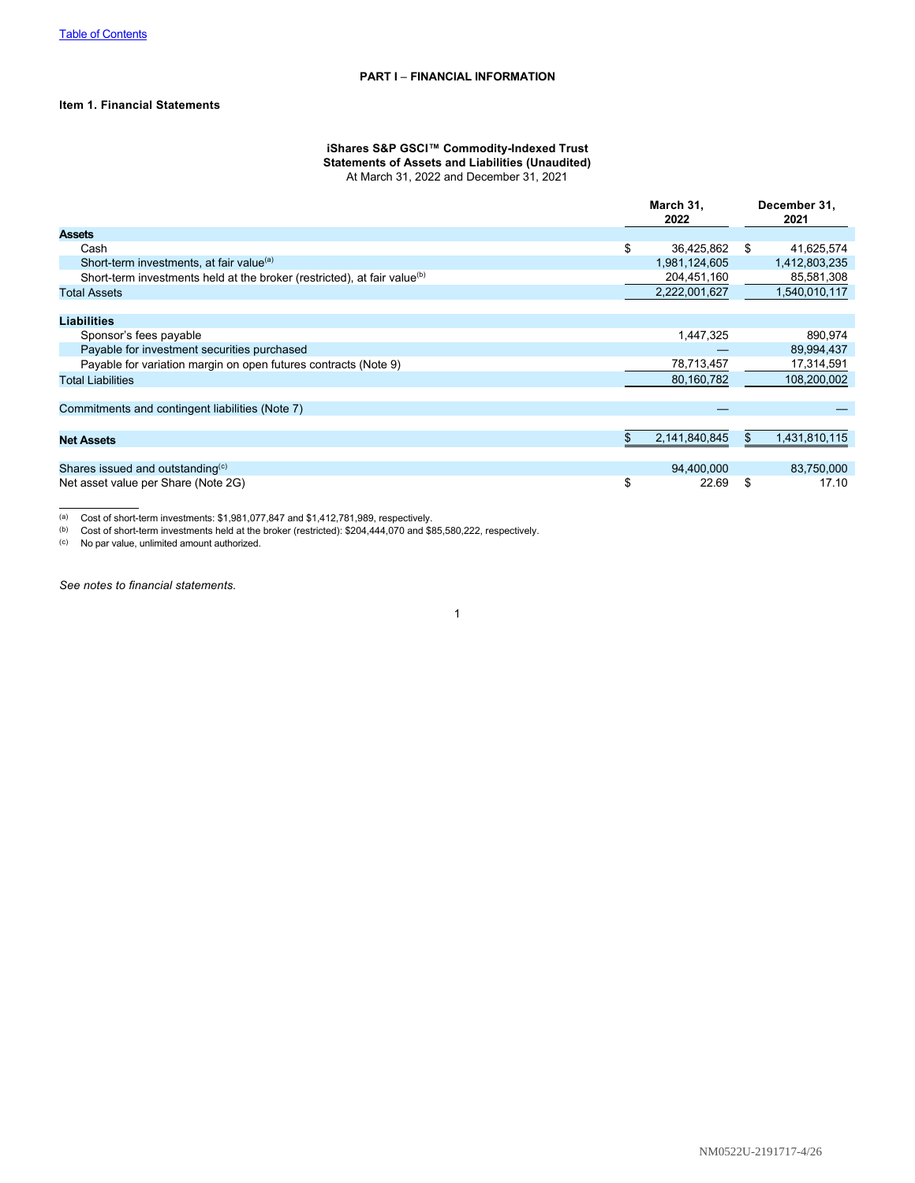## **Item 1. Financial Statements**

#### <span id="page-3-0"></span>**iShares S&P GSCI™ Commodity-Indexed Trust Statements of Assets and Liabilities (Unaudited)** At March 31, 2022 and December 31, 2021

**March 31, 2022 December 31, 2021 Assets** Cash \$ 36,425,862 \$ 41,625,574 Short-term investments, at fair value<sup>(a)</sup> 335<br>Short-term investments held at the broker (restricted), at fair value<sup>(b)</sup> 204,451,160 204,451,160 85,581,308 Short-term investments held at the broker (restricted), at fair value<sup>(b)</sup> 204,451,160 2,222,001,627 3,5581,308<br>Total Assets 2,222,001,627 1,540,010,117 Total Assets 2,222,001,627 1,540,010,117 **Liabilities** Sponsor's fees payable 890,974 890,974 890,974 Payable for investment securities purchased<br>
Payable for variation margin on open futures contracts (Note 9)  $\overline{178,713,457}$  (17,314,591 Payable for variation margin on open futures contracts (Note 9) 78,713,457 78,713,457 17,314,591<br>al Liabilities 78,713,457 17,314,591 Total Liabilities 80,160,782 108,200,002 Commitments and contingent liabilities (Note 7) and the control of the control of the control of the control of the control of the control of the control of the control of the control of the control of the control of the c **Net Assets** \$ 2,141,840,845 \$ 1,431,810,115 Shares issued and outstanding<sup>(c)</sup> 83,750,000 83,750,000 83,750,000 83,750,000 83,750,000 83,750,000 83,750,000 83,750,000 83,750,000 83,750,000 83,750,000 83,750,000 83,750,000 83,750,000 83,750,000 83,750,000 83,750,000 Net asset value per Share (Note 2G)  $$22.69$  \$ 17.10

(a) Cost of short-term investments: \$1,981,077,847 and \$1,412,781,989, respectively.

(b) Cost of short-term investments held at the broker (restricted): \$204,444,070 and \$85,580,222, respectively.

(c) No par value, unlimited amount authorized.

*See notes to financial statements.*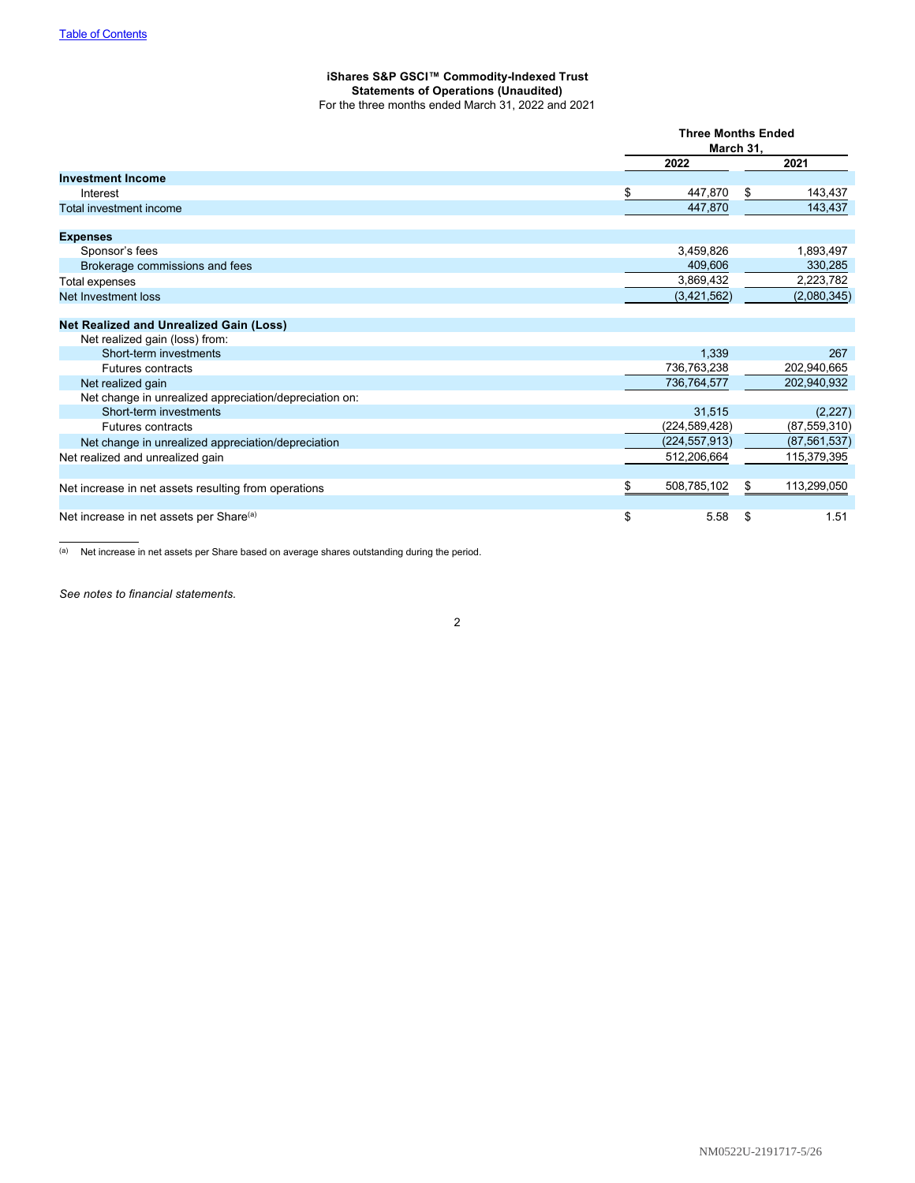## <span id="page-4-0"></span>**iShares S&P GSCI™ Commodity-Indexed Trust Statements of Operations (Unaudited)** For the three months ended March 31, 2022 and 2021

|                                                        |                   | <b>Three Months Ended</b><br>March 31, |                |
|--------------------------------------------------------|-------------------|----------------------------------------|----------------|
|                                                        | 2022              |                                        | 2021           |
| <b>Investment Income</b>                               |                   |                                        |                |
| Interest                                               | \$<br>447,870     | \$                                     | 143,437        |
| Total investment income                                | 447,870           |                                        | 143,437        |
| <b>Expenses</b>                                        |                   |                                        |                |
| Sponsor's fees                                         | 3,459,826         |                                        | 1,893,497      |
| Brokerage commissions and fees                         | 409,606           |                                        | 330,285        |
| Total expenses                                         | 3,869,432         |                                        | 2,223,782      |
| Net Investment loss                                    | (3,421,562)       |                                        | (2,080,345)    |
| <b>Net Realized and Unrealized Gain (Loss)</b>         |                   |                                        |                |
| Net realized gain (loss) from:                         |                   |                                        |                |
| Short-term investments                                 | 1,339             |                                        | 267            |
| <b>Futures contracts</b>                               | 736,763,238       |                                        | 202,940,665    |
| Net realized gain                                      | 736,764,577       |                                        | 202,940,932    |
| Net change in unrealized appreciation/depreciation on: |                   |                                        |                |
| Short-term investments                                 | 31,515            |                                        | (2,227)        |
| <b>Futures contracts</b>                               | (224, 589, 428)   |                                        | (87, 559, 310) |
| Net change in unrealized appreciation/depreciation     | (224, 557, 913)   |                                        | (87, 561, 537) |
| Net realized and unrealized gain                       | 512,206,664       |                                        | 115,379,395    |
| Net increase in net assets resulting from operations   | \$<br>508,785,102 |                                        | 113,299,050    |
| Net increase in net assets per Share <sup>(a)</sup>    | \$<br>5.58        | S                                      | 1.51           |

(a) Net increase in net assets per Share based on average shares outstanding during the period.

*See notes to financial statements.*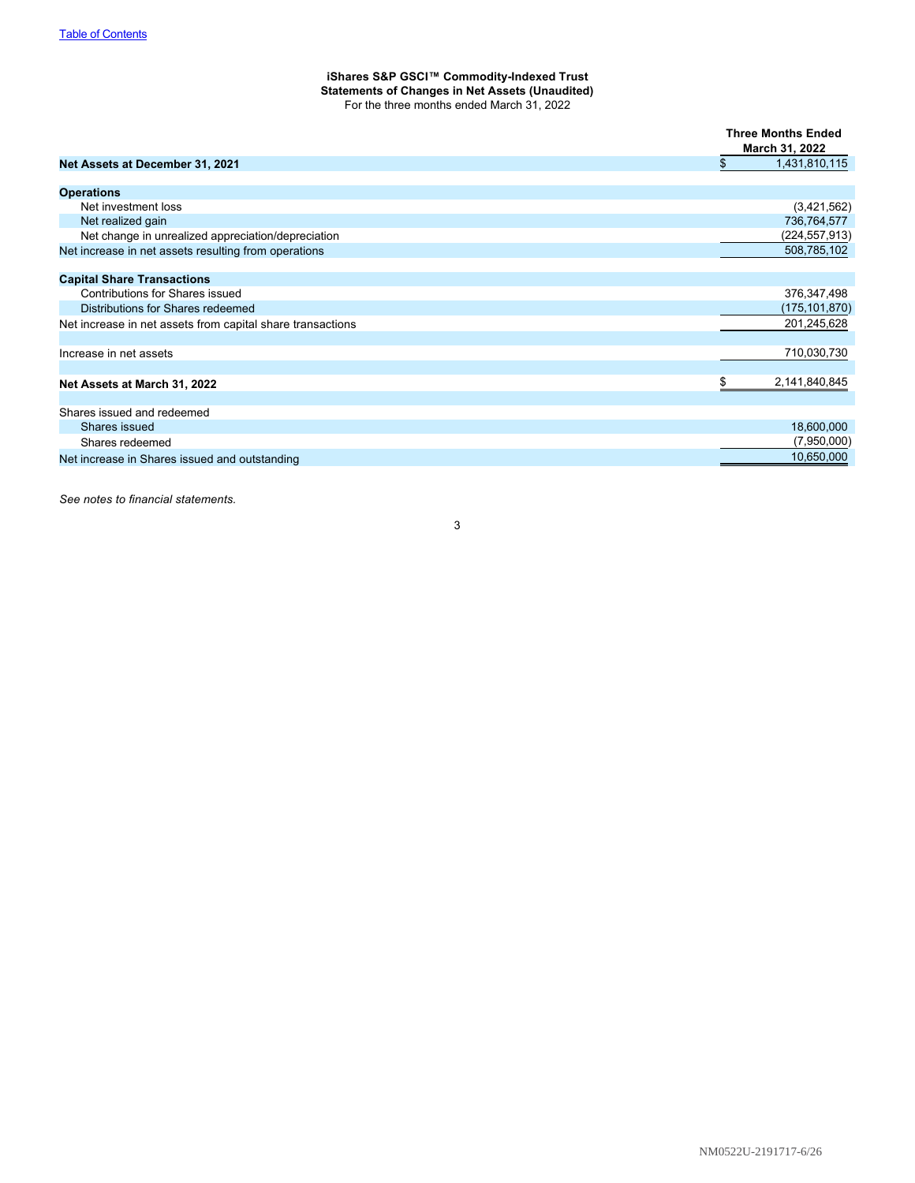### <span id="page-5-0"></span>**iShares S&P GSCI™ Commodity-Indexed Trust Statements of Changes in Net Assets (Unaudited)** For the three months ended March 31, 2022

|                                                            | <b>Three Months Ended</b><br>March 31, 2022 |
|------------------------------------------------------------|---------------------------------------------|
| Net Assets at December 31, 2021                            | \$<br>1,431,810,115                         |
| <b>Operations</b>                                          |                                             |
| Net investment loss                                        | (3,421,562)                                 |
| Net realized gain                                          | 736,764,577                                 |
| Net change in unrealized appreciation/depreciation         | (224, 557, 913)                             |
| Net increase in net assets resulting from operations       | 508,785,102                                 |
|                                                            |                                             |
| <b>Capital Share Transactions</b>                          |                                             |
| <b>Contributions for Shares issued</b>                     | 376, 347, 498                               |
| Distributions for Shares redeemed                          | (175, 101, 870)                             |
| Net increase in net assets from capital share transactions | 201,245,628                                 |
| Increase in net assets                                     | 710,030,730                                 |
| Net Assets at March 31, 2022                               | 2,141,840,845<br>S                          |
| Shares issued and redeemed                                 |                                             |
| Shares issued                                              | 18,600,000                                  |
| Shares redeemed                                            | (7,950,000)                                 |
| Net increase in Shares issued and outstanding              | 10,650,000                                  |

3

*See notes to financial statements.*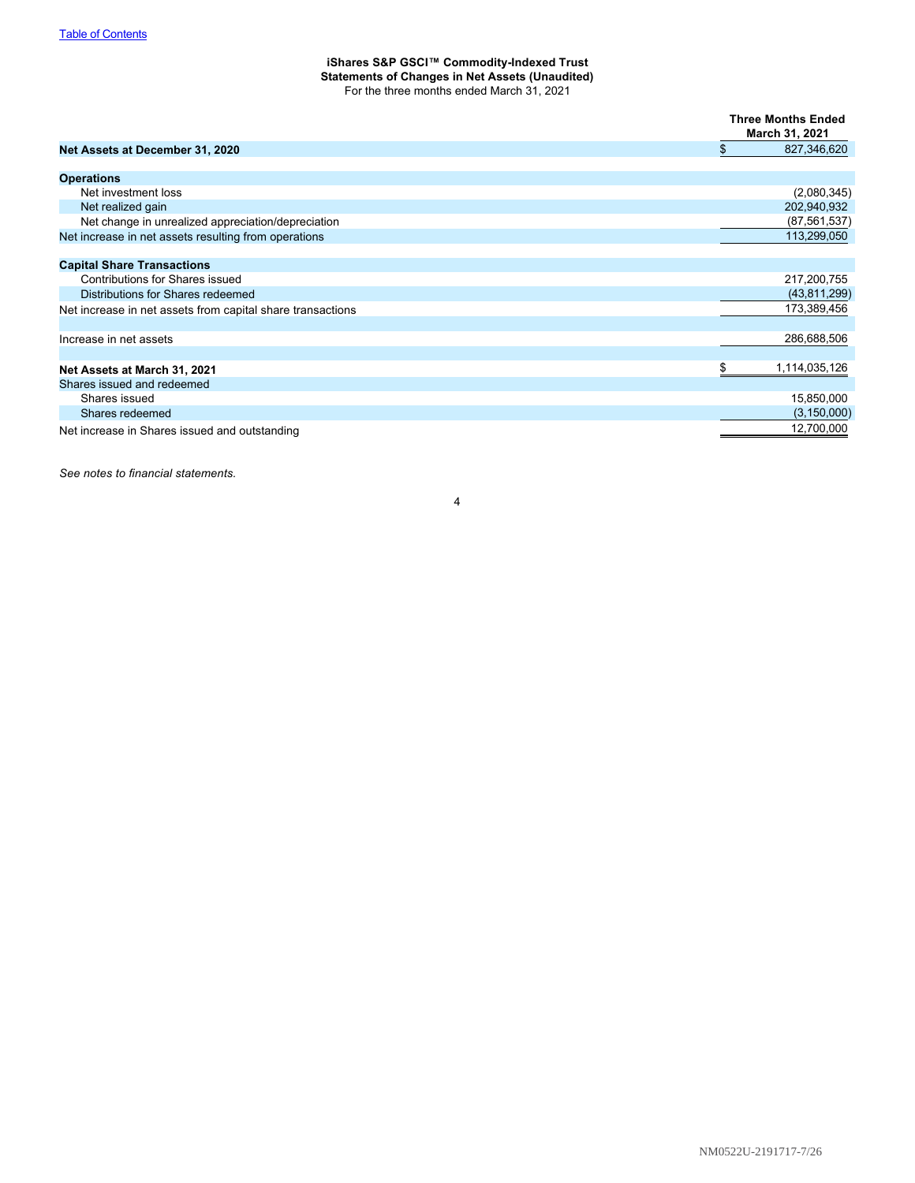#### **iShares S&P GSCI™ Commodity-Indexed Trust Statements of Changes in Net Assets (Unaudited)** For the three months ended March 31, 2021

|                                                            | <b>Three Months Ended</b><br>March 31, 2021 |
|------------------------------------------------------------|---------------------------------------------|
| Net Assets at December 31, 2020                            | \$<br>827,346,620                           |
| <b>Operations</b>                                          |                                             |
| Net investment loss                                        | (2,080,345)                                 |
| Net realized gain                                          | 202,940,932                                 |
| Net change in unrealized appreciation/depreciation         | (87, 561, 537)                              |
| Net increase in net assets resulting from operations       | 113,299,050                                 |
| <b>Capital Share Transactions</b>                          |                                             |
| Contributions for Shares issued                            | 217,200,755                                 |
| Distributions for Shares redeemed                          | (43,811,299)                                |
| Net increase in net assets from capital share transactions | 173,389,456                                 |
| Increase in net assets                                     | 286,688,506                                 |
| Net Assets at March 31, 2021                               | 1,114,035,126                               |
| Shares issued and redeemed                                 |                                             |
| Shares issued                                              | 15,850,000                                  |
| Shares redeemed                                            | (3, 150, 000)                               |
| Net increase in Shares issued and outstanding              | 12,700,000                                  |

*See notes to financial statements.*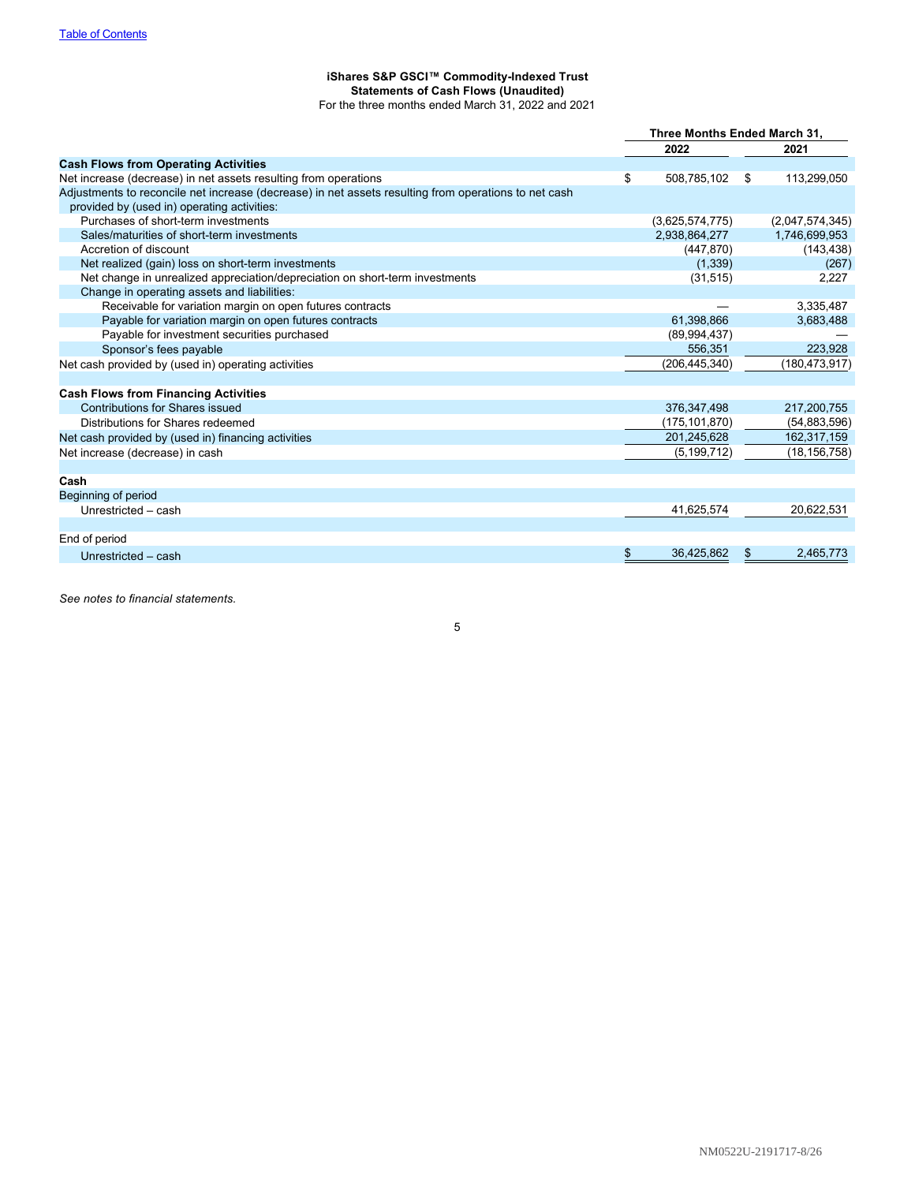#### <span id="page-7-0"></span>**iShares S&P GSCI™ Commodity-Indexed Trust Statements of Cash Flows (Unaudited)** For the three months ended March 31, 2022 and 2021

|                                                                                                      | Three Months Ended March 31, |                 |    |                 |
|------------------------------------------------------------------------------------------------------|------------------------------|-----------------|----|-----------------|
|                                                                                                      |                              | 2022            |    | 2021            |
| <b>Cash Flows from Operating Activities</b>                                                          |                              |                 |    |                 |
| Net increase (decrease) in net assets resulting from operations                                      | \$                           | 508,785,102     | \$ | 113,299,050     |
| Adjustments to reconcile net increase (decrease) in net assets resulting from operations to net cash |                              |                 |    |                 |
| provided by (used in) operating activities:                                                          |                              |                 |    |                 |
| Purchases of short-term investments                                                                  |                              | (3,625,574,775) |    | (2,047,574,345) |
| Sales/maturities of short-term investments                                                           |                              | 2,938,864,277   |    | 1,746,699,953   |
| Accretion of discount                                                                                |                              | (447, 870)      |    | (143, 438)      |
| Net realized (gain) loss on short-term investments                                                   |                              | (1,339)         |    | (267)           |
| Net change in unrealized appreciation/depreciation on short-term investments                         |                              | (31, 515)       |    | 2,227           |
| Change in operating assets and liabilities:                                                          |                              |                 |    |                 |
| Receivable for variation margin on open futures contracts                                            |                              |                 |    | 3,335,487       |
| Payable for variation margin on open futures contracts                                               |                              | 61,398,866      |    | 3,683,488       |
| Payable for investment securities purchased                                                          |                              | (89, 994, 437)  |    |                 |
| Sponsor's fees payable                                                                               |                              | 556,351         |    | 223,928         |
| Net cash provided by (used in) operating activities                                                  |                              | (206, 445, 340) |    | (180, 473, 917) |
|                                                                                                      |                              |                 |    |                 |
| <b>Cash Flows from Financing Activities</b>                                                          |                              |                 |    |                 |
| <b>Contributions for Shares issued</b>                                                               |                              | 376, 347, 498   |    | 217,200,755     |
| Distributions for Shares redeemed                                                                    |                              | (175,101,870)   |    | (54, 883, 596)  |
| Net cash provided by (used in) financing activities                                                  |                              | 201,245,628     |    | 162,317,159     |
| Net increase (decrease) in cash                                                                      |                              | (5, 199, 712)   |    | (18, 156, 758)  |
|                                                                                                      |                              |                 |    |                 |
| Cash                                                                                                 |                              |                 |    |                 |
| Beginning of period                                                                                  |                              |                 |    |                 |
| Unrestricted - cash                                                                                  |                              | 41,625,574      |    | 20,622,531      |
|                                                                                                      |                              |                 |    |                 |
| End of period                                                                                        |                              |                 |    |                 |
| Unrestricted - cash                                                                                  | \$                           | 36,425,862      |    | 2,465,773       |
|                                                                                                      |                              |                 |    |                 |

*See notes to financial statements.*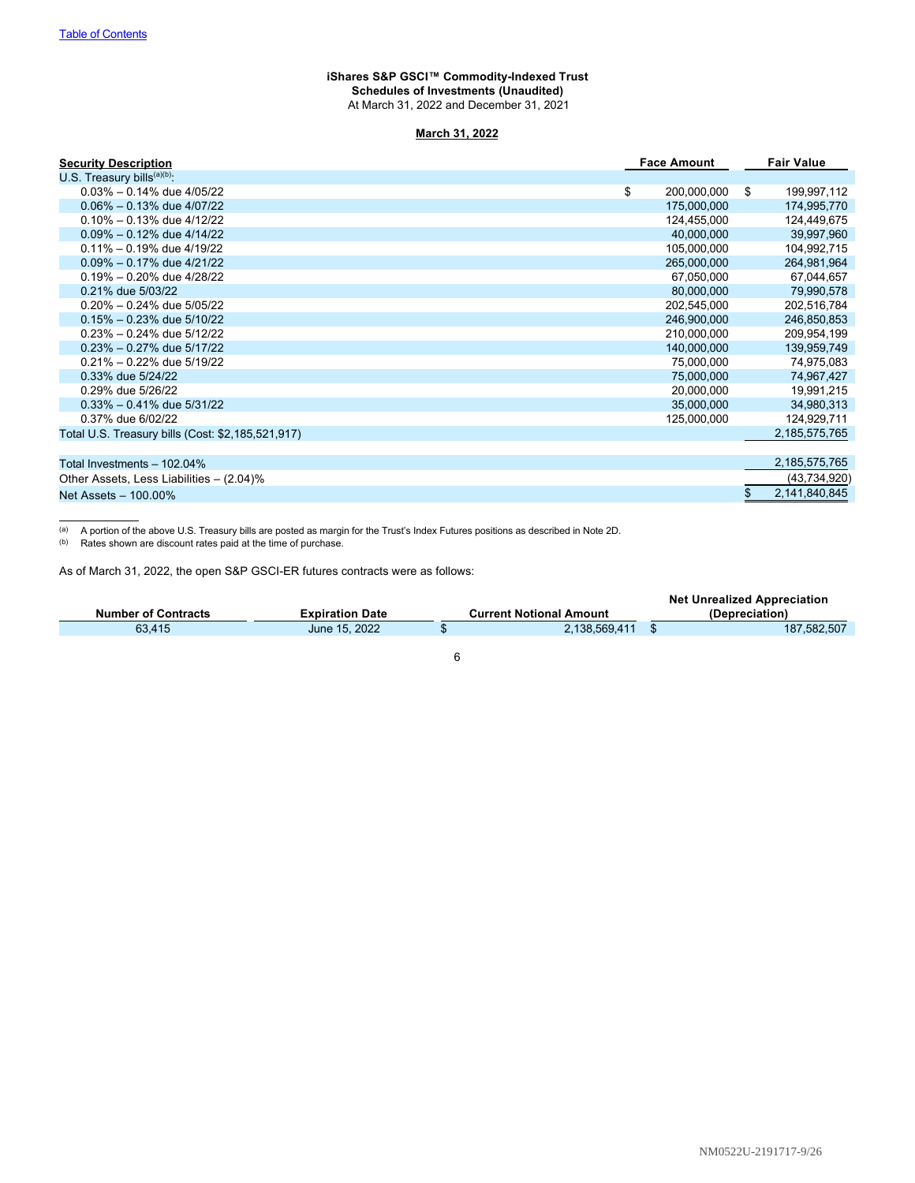## <span id="page-8-0"></span>**iShares S&P GSCI™ Commodity-Indexed Trust Schedules of Investments (Unaudited)** At March 31, 2022 and December 31, 2021

## **March 31, 2022**

| <b>Security Description</b>                       | <b>Face Amount</b> |             | <b>Fair Value</b>   |  |
|---------------------------------------------------|--------------------|-------------|---------------------|--|
| U.S. Treasury bills <sup>(a)(b)</sup> :           |                    |             |                     |  |
| $0.03\% - 0.14\%$ due 4/05/22                     | \$                 | 200,000,000 | \$<br>199,997,112   |  |
| $0.06\% - 0.13\%$ due 4/07/22                     |                    | 175,000,000 | 174,995,770         |  |
| $0.10\% - 0.13\%$ due 4/12/22                     |                    | 124,455,000 | 124,449,675         |  |
| $0.09\% - 0.12\%$ due 4/14/22                     |                    | 40,000,000  | 39,997,960          |  |
| $0.11\% - 0.19\%$ due 4/19/22                     |                    | 105,000,000 | 104,992,715         |  |
| $0.09\% - 0.17\%$ due 4/21/22                     |                    | 265,000,000 | 264,981,964         |  |
| $0.19\% - 0.20\%$ due 4/28/22                     |                    | 67,050,000  | 67,044,657          |  |
| 0.21% due 5/03/22                                 |                    | 80,000,000  | 79,990,578          |  |
| $0.20\% - 0.24\%$ due 5/05/22                     |                    | 202,545,000 | 202,516,784         |  |
| $0.15\% - 0.23\%$ due 5/10/22                     |                    | 246,900,000 | 246,850,853         |  |
| $0.23\% - 0.24\%$ due 5/12/22                     |                    | 210,000,000 | 209,954,199         |  |
| $0.23\% - 0.27\%$ due 5/17/22                     |                    | 140,000,000 | 139,959,749         |  |
| $0.21\% - 0.22\%$ due 5/19/22                     |                    | 75,000,000  | 74,975,083          |  |
| 0.33% due 5/24/22                                 |                    | 75,000,000  | 74,967,427          |  |
| 0.29% due 5/26/22                                 |                    | 20,000,000  | 19,991,215          |  |
| $0.33\% - 0.41\%$ due 5/31/22                     |                    | 35,000,000  | 34,980,313          |  |
| 0.37% due 6/02/22                                 |                    | 125,000,000 | 124,929,711         |  |
| Total U.S. Treasury bills (Cost: \$2,185,521,917) |                    |             | 2,185,575,765       |  |
|                                                   |                    |             |                     |  |
| Total Investments - 102.04%                       |                    |             | 2,185,575,765       |  |
| Other Assets, Less Liabilities - (2.04)%          |                    |             | (43,734,920)        |  |
| Net Assets - 100.00%                              |                    |             | \$<br>2,141,840,845 |  |

 $(a)$  A portion of the above U.S. Treasury bills are posted as margin for the Trust's Index Futures positions as described in Note 2D.

(b) Rates shown are discount rates paid at the time of purchase.

As of March 31, 2022, the open S&P GSCI-ER futures contracts were as follows:

|                            |                        |                                | <b>Net Unrealized Appreciation</b> |
|----------------------------|------------------------|--------------------------------|------------------------------------|
| <b>Number of Contracts</b> | <b>Expiration Date</b> | <b>Current Notional Amount</b> | (Depreciation)                     |
| 63.415                     | June 15, 2022          | 2.138.569.411                  | 187.582.507                        |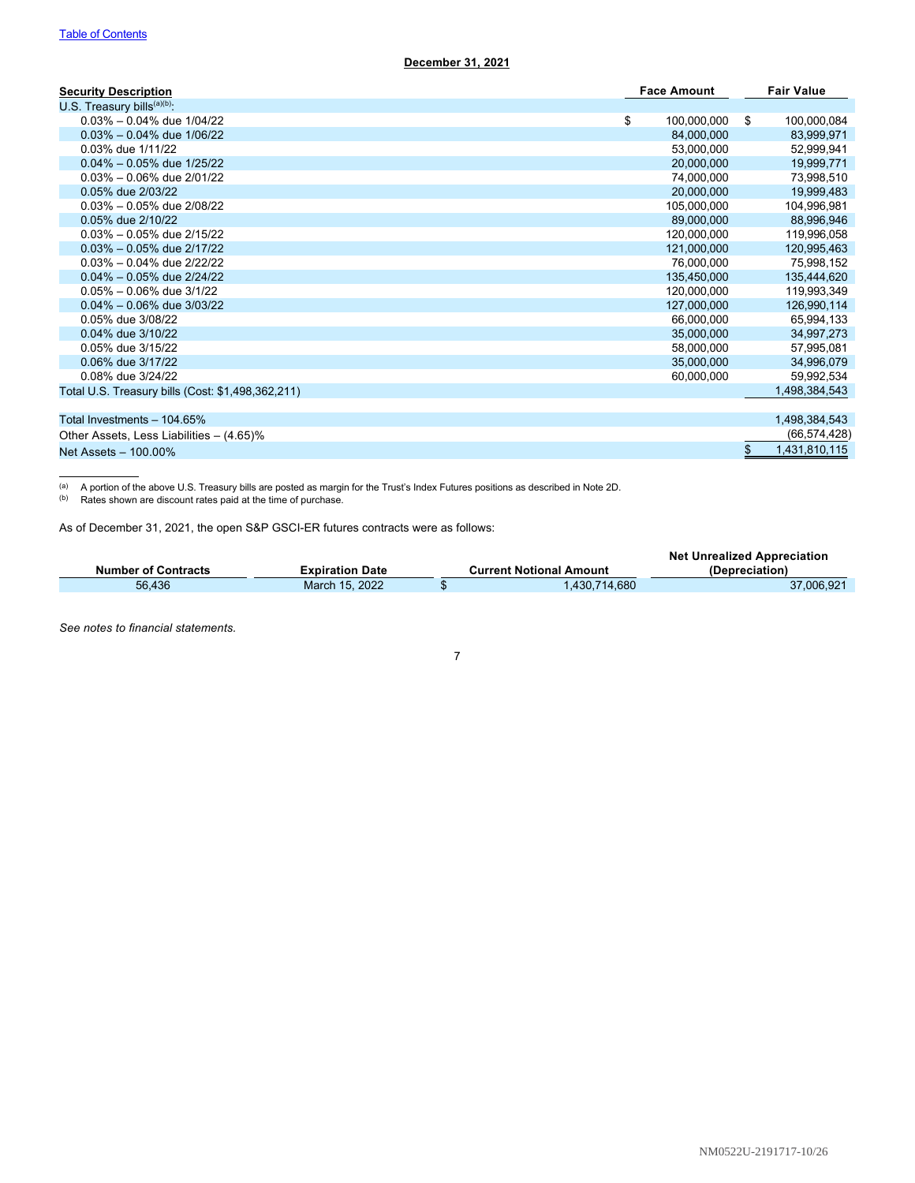## **December 31, 2021**

|          | <b>Security Description</b>       |
|----------|-----------------------------------|
| $\cdots$ | $\cdots$ ( $\alpha$ )( $\alpha$ ) |

| <b>Security Description</b>                       | <b>Face Amount</b> | <b>Fair Value</b>   |
|---------------------------------------------------|--------------------|---------------------|
| U.S. Treasury bills $(a)(b)$ .                    |                    |                     |
| $0.03\% - 0.04\%$ due $1/04/22$                   | \$<br>100,000,000  | \$<br>100,000,084   |
| $0.03\% - 0.04\%$ due $1/06/22$                   | 84,000,000         | 83,999,971          |
| 0.03% due 1/11/22                                 | 53,000,000         | 52,999,941          |
| $0.04\% - 0.05\%$ due $1/25/22$                   | 20,000,000         | 19,999,771          |
| $0.03\% - 0.06\%$ due $2/01/22$                   | 74,000,000         | 73,998,510          |
| 0.05% due 2/03/22                                 | 20,000,000         | 19,999,483          |
| $0.03\% - 0.05\%$ due 2/08/22                     | 105,000,000        | 104,996,981         |
| 0.05% due 2/10/22                                 | 89,000,000         | 88,996,946          |
| $0.03\% - 0.05\%$ due 2/15/22                     | 120,000,000        | 119,996,058         |
| $0.03\% - 0.05\%$ due 2/17/22                     | 121,000,000        | 120,995,463         |
| $0.03\% - 0.04\%$ due 2/22/22                     | 76,000,000         | 75,998,152          |
| $0.04\% - 0.05\%$ due 2/24/22                     | 135,450,000        | 135,444,620         |
| $0.05\% - 0.06\%$ due $3/1/22$                    | 120,000,000        | 119,993,349         |
| $0.04\% - 0.06\%$ due $3/03/22$                   | 127,000,000        | 126,990,114         |
| 0.05% due 3/08/22                                 | 66,000,000         | 65,994,133          |
| 0.04% due 3/10/22                                 | 35,000,000         | 34,997,273          |
| 0.05% due 3/15/22                                 | 58,000,000         | 57,995,081          |
| 0.06% due 3/17/22                                 | 35,000,000         | 34,996,079          |
| 0.08% due 3/24/22                                 | 60,000,000         | 59,992,534          |
| Total U.S. Treasury bills (Cost: \$1,498,362,211) |                    | 1,498,384,543       |
|                                                   |                    |                     |
| Total Investments - 104.65%                       |                    | 1,498,384,543       |
| Other Assets, Less Liabilities - (4.65)%          |                    | (66,574,428)        |
| Net Assets - 100.00%                              |                    | \$<br>1,431,810,115 |

(a) A portion of the above U.S. Treasury bills are posted as margin for the Trust's Index Futures positions as described in Note 2D.

(b) Rates shown are discount rates paid at the time of purchase.

As of December 31, 2021, the open S&P GSCI-ER futures contracts were as follows:

|                            |                        |                                | <b>Net Unrealized Appreciation</b> |
|----------------------------|------------------------|--------------------------------|------------------------------------|
| <b>Number of Contracts</b> | <b>Expiration Date</b> | <b>Current Notional Amount</b> | (Depreciation)                     |
| 56.436                     | March 15, 2022         | 430,714,680                    | 37,006,921                         |

*See notes to financial statements.*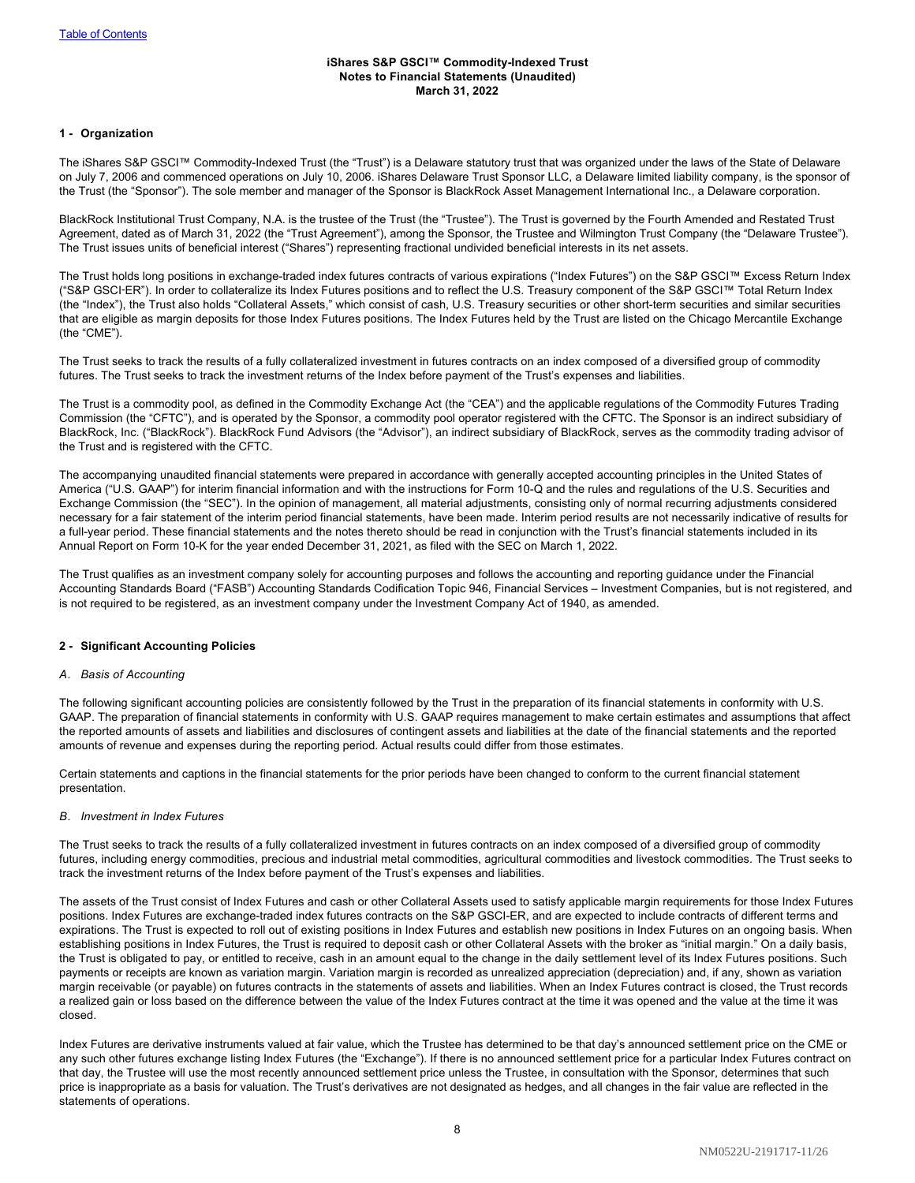#### <span id="page-10-0"></span>**iShares S&P GSCI™ Commodity-Indexed Trust Notes to Financial Statements (Unaudited) March 31, 2022**

## **1 - Organization**

The iShares S&P GSCI™ Commodity-Indexed Trust (the "Trust") is a Delaware statutory trust that was organized under the laws of the State of Delaware on July 7, 2006 and commenced operations on July 10, 2006. iShares Delaware Trust Sponsor LLC, a Delaware limited liability company, is the sponsor of the Trust (the "Sponsor"). The sole member and manager of the Sponsor is BlackRock Asset Management International Inc., a Delaware corporation.

BlackRock Institutional Trust Company, N.A. is the trustee of the Trust (the "Trustee"). The Trust is governed by the Fourth Amended and Restated Trust Agreement, dated as of March 31, 2022 (the "Trust Agreement"), among the Sponsor, the Trustee and Wilmington Trust Company (the "Delaware Trustee"). The Trust issues units of beneficial interest ("Shares") representing fractional undivided beneficial interests in its net assets.

The Trust holds long positions in exchange-traded index futures contracts of various expirations ("Index Futures") on the S&P GSCI™ Excess Return Index ("S&P GSCI‑ER"). In order to collateralize its Index Futures positions and to reflect the U.S. Treasury component of the S&P GSCI™ Total Return Index (the "Index"), the Trust also holds "Collateral Assets," which consist of cash, U.S. Treasury securities or other short-term securities and similar securities that are eligible as margin deposits for those Index Futures positions. The Index Futures held by the Trust are listed on the Chicago Mercantile Exchange (the "CME").

The Trust seeks to track the results of a fully collateralized investment in futures contracts on an index composed of a diversified group of commodity futures. The Trust seeks to track the investment returns of the Index before payment of the Trust's expenses and liabilities.

The Trust is a commodity pool, as defined in the Commodity Exchange Act (the "CEA") and the applicable regulations of the Commodity Futures Trading Commission (the "CFTC"), and is operated by the Sponsor, a commodity pool operator registered with the CFTC. The Sponsor is an indirect subsidiary of BlackRock, Inc. ("BlackRock"). BlackRock Fund Advisors (the "Advisor"), an indirect subsidiary of BlackRock, serves as the commodity trading advisor of the Trust and is registered with the CFTC.

The accompanying unaudited financial statements were prepared in accordance with generally accepted accounting principles in the United States of America ("U.S. GAAP") for interim financial information and with the instructions for Form 10-Q and the rules and regulations of the U.S. Securities and Exchange Commission (the "SEC"). In the opinion of management, all material adjustments, consisting only of normal recurring adjustments considered necessary for a fair statement of the interim period financial statements, have been made. Interim period results are not necessarily indicative of results for a full-year period. These financial statements and the notes thereto should be read in conjunction with the Trust's financial statements included in its Annual Report on Form 10-K for the year ended December 31, 2021, as filed with the SEC on March 1, 2022.

The Trust qualifies as an investment company solely for accounting purposes and follows the accounting and reporting guidance under the Financial Accounting Standards Board ("FASB") Accounting Standards Codification Topic 946, Financial Services – Investment Companies, but is not registered, and is not required to be registered, as an investment company under the Investment Company Act of 1940, as amended.

## **2 - Significant Accounting Policies**

### *A. Basis of Accounting*

The following significant accounting policies are consistently followed by the Trust in the preparation of its financial statements in conformity with U.S. GAAP. The preparation of financial statements in conformity with U.S. GAAP requires management to make certain estimates and assumptions that affect the reported amounts of assets and liabilities and disclosures of contingent assets and liabilities at the date of the financial statements and the reported amounts of revenue and expenses during the reporting period. Actual results could differ from those estimates.

Certain statements and captions in the financial statements for the prior periods have been changed to conform to the current financial statement presentation.

#### *B. Investment in Index Futures*

The Trust seeks to track the results of a fully collateralized investment in futures contracts on an index composed of a diversified group of commodity futures, including energy commodities, precious and industrial metal commodities, agricultural commodities and livestock commodities. The Trust seeks to track the investment returns of the Index before payment of the Trust's expenses and liabilities.

The assets of the Trust consist of Index Futures and cash or other Collateral Assets used to satisfy applicable margin requirements for those Index Futures positions. Index Futures are exchange-traded index futures contracts on the S&P GSCI-ER, and are expected to include contracts of different terms and expirations. The Trust is expected to roll out of existing positions in Index Futures and establish new positions in Index Futures on an ongoing basis. When establishing positions in Index Futures, the Trust is required to deposit cash or other Collateral Assets with the broker as "initial margin." On a daily basis, the Trust is obligated to pay, or entitled to receive, cash in an amount equal to the change in the daily settlement level of its Index Futures positions. Such payments or receipts are known as variation margin. Variation margin is recorded as unrealized appreciation (depreciation) and, if any, shown as variation margin receivable (or payable) on futures contracts in the statements of assets and liabilities. When an Index Futures contract is closed, the Trust records a realized gain or loss based on the difference between the value of the Index Futures contract at the time it was opened and the value at the time it was closed.

Index Futures are derivative instruments valued at fair value, which the Trustee has determined to be that day's announced settlement price on the CME or any such other futures exchange listing Index Futures (the "Exchange"). If there is no announced settlement price for a particular Index Futures contract on that day, the Trustee will use the most recently announced settlement price unless the Trustee, in consultation with the Sponsor, determines that such price is inappropriate as a basis for valuation. The Trust's derivatives are not designated as hedges, and all changes in the fair value are reflected in the statements of operations.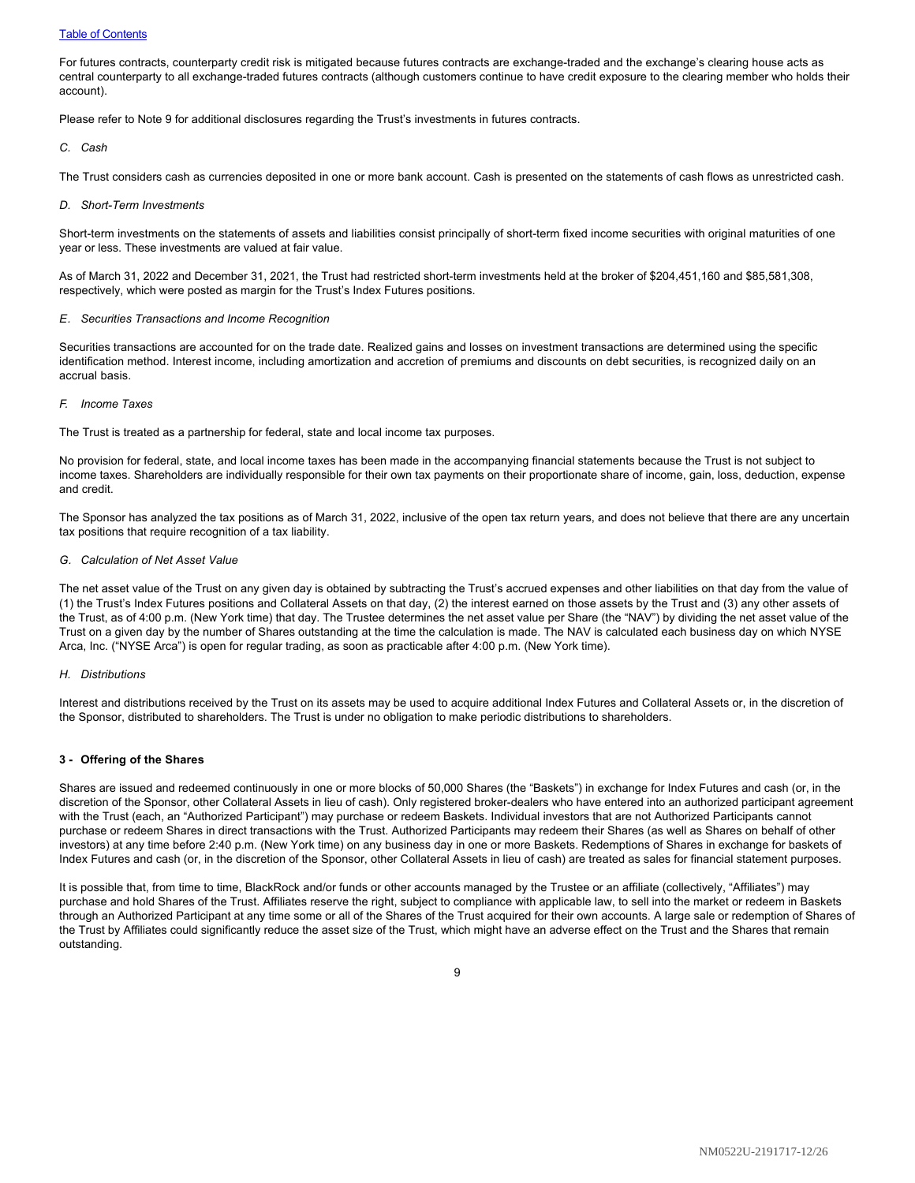## **[Table of Contents](#page-2-0)**

For futures contracts, counterparty credit risk is mitigated because futures contracts are exchange-traded and the exchange's clearing house acts as central counterparty to all exchange-traded futures contracts (although customers continue to have credit exposure to the clearing member who holds their account).

Please refer to Note 9 for additional disclosures regarding the Trust's investments in futures contracts.

#### *C. Cash*

The Trust considers cash as currencies deposited in one or more bank account. Cash is presented on the statements of cash flows as unrestricted cash.

#### *D. Short-Term Investments*

Short-term investments on the statements of assets and liabilities consist principally of short-term fixed income securities with original maturities of one year or less. These investments are valued at fair value.

As of March 31, 2022 and December 31, 2021, the Trust had restricted short-term investments held at the broker of \$204,451,160 and \$85,581,308, respectively, which were posted as margin for the Trust's Index Futures positions.

#### *E. Securities Transactions and Income Recognition*

Securities transactions are accounted for on the trade date. Realized gains and losses on investment transactions are determined using the specific identification method. Interest income, including amortization and accretion of premiums and discounts on debt securities, is recognized daily on an accrual basis.

## *F. Income Taxes*

The Trust is treated as a partnership for federal, state and local income tax purposes.

No provision for federal, state, and local income taxes has been made in the accompanying financial statements because the Trust is not subject to income taxes. Shareholders are individually responsible for their own tax payments on their proportionate share of income, gain, loss, deduction, expense and credit.

The Sponsor has analyzed the tax positions as of March 31, 2022, inclusive of the open tax return years, and does not believe that there are any uncertain tax positions that require recognition of a tax liability.

#### *G. Calculation of Net Asset Value*

The net asset value of the Trust on any given day is obtained by subtracting the Trust's accrued expenses and other liabilities on that day from the value of (1) the Trust's Index Futures positions and Collateral Assets on that day, (2) the interest earned on those assets by the Trust and (3) any other assets of the Trust, as of 4:00 p.m. (New York time) that day. The Trustee determines the net asset value per Share (the "NAV") by dividing the net asset value of the Trust on a given day by the number of Shares outstanding at the time the calculation is made. The NAV is calculated each business day on which NYSE Arca, Inc. ("NYSE Arca") is open for regular trading, as soon as practicable after 4:00 p.m. (New York time).

#### *H. Distributions*

Interest and distributions received by the Trust on its assets may be used to acquire additional Index Futures and Collateral Assets or, in the discretion of the Sponsor, distributed to shareholders. The Trust is under no obligation to make periodic distributions to shareholders.

#### **3 - Offering of the Shares**

Shares are issued and redeemed continuously in one or more blocks of 50,000 Shares (the "Baskets") in exchange for Index Futures and cash (or, in the discretion of the Sponsor, other Collateral Assets in lieu of cash). Only registered broker-dealers who have entered into an authorized participant agreement with the Trust (each, an "Authorized Participant") may purchase or redeem Baskets. Individual investors that are not Authorized Participants cannot purchase or redeem Shares in direct transactions with the Trust. Authorized Participants may redeem their Shares (as well as Shares on behalf of other investors) at any time before 2:40 p.m. (New York time) on any business day in one or more Baskets. Redemptions of Shares in exchange for baskets of Index Futures and cash (or, in the discretion of the Sponsor, other Collateral Assets in lieu of cash) are treated as sales for financial statement purposes.

It is possible that, from time to time, BlackRock and/or funds or other accounts managed by the Trustee or an affiliate (collectively, "Affiliates") may purchase and hold Shares of the Trust. Affiliates reserve the right, subject to compliance with applicable law, to sell into the market or redeem in Baskets through an Authorized Participant at any time some or all of the Shares of the Trust acquired for their own accounts. A large sale or redemption of Shares of the Trust by Affiliates could significantly reduce the asset size of the Trust, which might have an adverse effect on the Trust and the Shares that remain outstanding.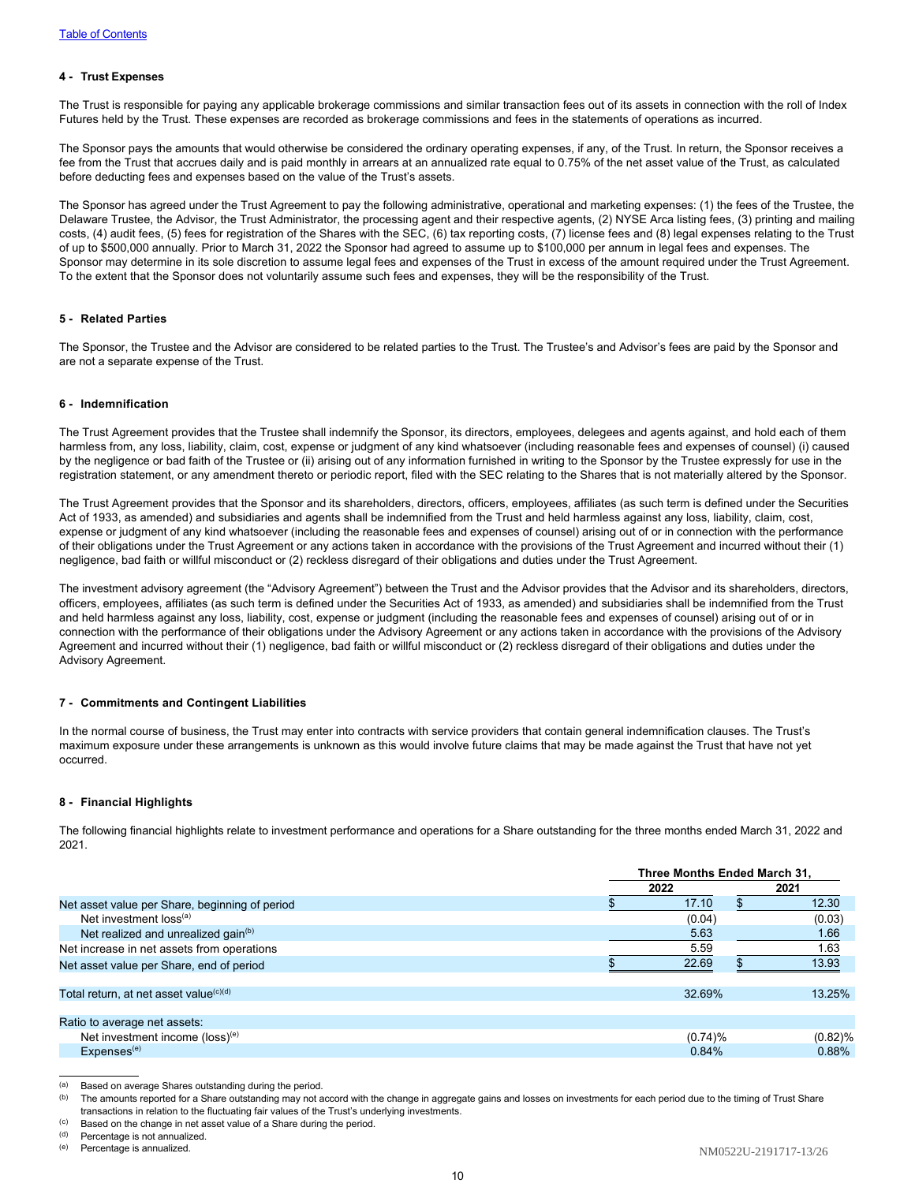## **4 - Trust Expenses**

The Trust is responsible for paying any applicable brokerage commissions and similar transaction fees out of its assets in connection with the roll of Index Futures held by the Trust. These expenses are recorded as brokerage commissions and fees in the statements of operations as incurred.

The Sponsor pays the amounts that would otherwise be considered the ordinary operating expenses, if any, of the Trust. In return, the Sponsor receives a fee from the Trust that accrues daily and is paid monthly in arrears at an annualized rate equal to 0.75% of the net asset value of the Trust, as calculated before deducting fees and expenses based on the value of the Trust's assets.

The Sponsor has agreed under the Trust Agreement to pay the following administrative, operational and marketing expenses: (1) the fees of the Trustee, the Delaware Trustee, the Advisor, the Trust Administrator, the processing agent and their respective agents, (2) NYSE Arca listing fees, (3) printing and mailing costs, (4) audit fees, (5) fees for registration of the Shares with the SEC, (6) tax reporting costs, (7) license fees and (8) legal expenses relating to the Trust of up to \$500,000 annually. Prior to March 31, 2022 the Sponsor had agreed to assume up to \$100,000 per annum in legal fees and expenses. The Sponsor may determine in its sole discretion to assume legal fees and expenses of the Trust in excess of the amount required under the Trust Agreement. To the extent that the Sponsor does not voluntarily assume such fees and expenses, they will be the responsibility of the Trust.

### **5 - Related Parties**

The Sponsor, the Trustee and the Advisor are considered to be related parties to the Trust. The Trustee's and Advisor's fees are paid by the Sponsor and are not a separate expense of the Trust.

## **6 - Indemnification**

The Trust Agreement provides that the Trustee shall indemnify the Sponsor, its directors, employees, delegees and agents against, and hold each of them harmless from, any loss, liability, claim, cost, expense or judgment of any kind whatsoever (including reasonable fees and expenses of counsel) (i) caused by the negligence or bad faith of the Trustee or (ii) arising out of any information furnished in writing to the Sponsor by the Trustee expressly for use in the registration statement, or any amendment thereto or periodic report, filed with the SEC relating to the Shares that is not materially altered by the Sponsor.

The Trust Agreement provides that the Sponsor and its shareholders, directors, officers, employees, affiliates (as such term is defined under the Securities Act of 1933, as amended) and subsidiaries and agents shall be indemnified from the Trust and held harmless against any loss, liability, claim, cost, expense or judgment of any kind whatsoever (including the reasonable fees and expenses of counsel) arising out of or in connection with the performance of their obligations under the Trust Agreement or any actions taken in accordance with the provisions of the Trust Agreement and incurred without their (1) negligence, bad faith or willful misconduct or (2) reckless disregard of their obligations and duties under the Trust Agreement.

The investment advisory agreement (the "Advisory Agreement") between the Trust and the Advisor provides that the Advisor and its shareholders, directors, officers, employees, affiliates (as such term is defined under the Securities Act of 1933, as amended) and subsidiaries shall be indemnified from the Trust and held harmless against any loss, liability, cost, expense or judgment (including the reasonable fees and expenses of counsel) arising out of or in connection with the performance of their obligations under the Advisory Agreement or any actions taken in accordance with the provisions of the Advisory Agreement and incurred without their (1) negligence, bad faith or willful misconduct or (2) reckless disregard of their obligations and duties under the Advisory Agreement.

#### **7 - Commitments and Contingent Liabilities**

In the normal course of business, the Trust may enter into contracts with service providers that contain general indemnification clauses. The Trust's maximum exposure under these arrangements is unknown as this would involve future claims that may be made against the Trust that have not yet occurred.

#### **8 - Financial Highlights**

The following financial highlights relate to investment performance and operations for a Share outstanding for the three months ended March 31, 2022 and 2021.

|                                                    | Three Months Ended March 31. |  |            |  |
|----------------------------------------------------|------------------------------|--|------------|--|
|                                                    | 2022                         |  | 2021       |  |
| Net asset value per Share, beginning of period     | 17.10                        |  | 12.30      |  |
| Net investment loss <sup>(a)</sup>                 | (0.04)                       |  | (0.03)     |  |
| Net realized and unrealized gain <sup>(b)</sup>    | 5.63                         |  | 1.66       |  |
| Net increase in net assets from operations         | 5.59                         |  | 1.63       |  |
| Net asset value per Share, end of period           | 22.69                        |  | 13.93      |  |
| Total return, at net asset value <sup>(c)(d)</sup> | 32.69%                       |  | 13.25%     |  |
| Ratio to average net assets:                       |                              |  |            |  |
| Net investment income (loss) <sup>(e)</sup>        | $(0.74)$ %                   |  | $(0.82)\%$ |  |
| Expenses <sup>(e)</sup>                            | 0.84%                        |  | 0.88%      |  |

<sup>(</sup>a) Based on average Shares outstanding during the period.

(b) The amounts reported for a Share outstanding may not accord with the change in aggregate gains and losses on investments for each period due to the timing of Trust Share transactions in relation to the fluctuating fair values of the Trust's underlying investments.

(c) Based on the change in net asset value of a Share during the period.<br>(d) Percentage is not annualized

Percentage is not annualized.

Percentage is annualized.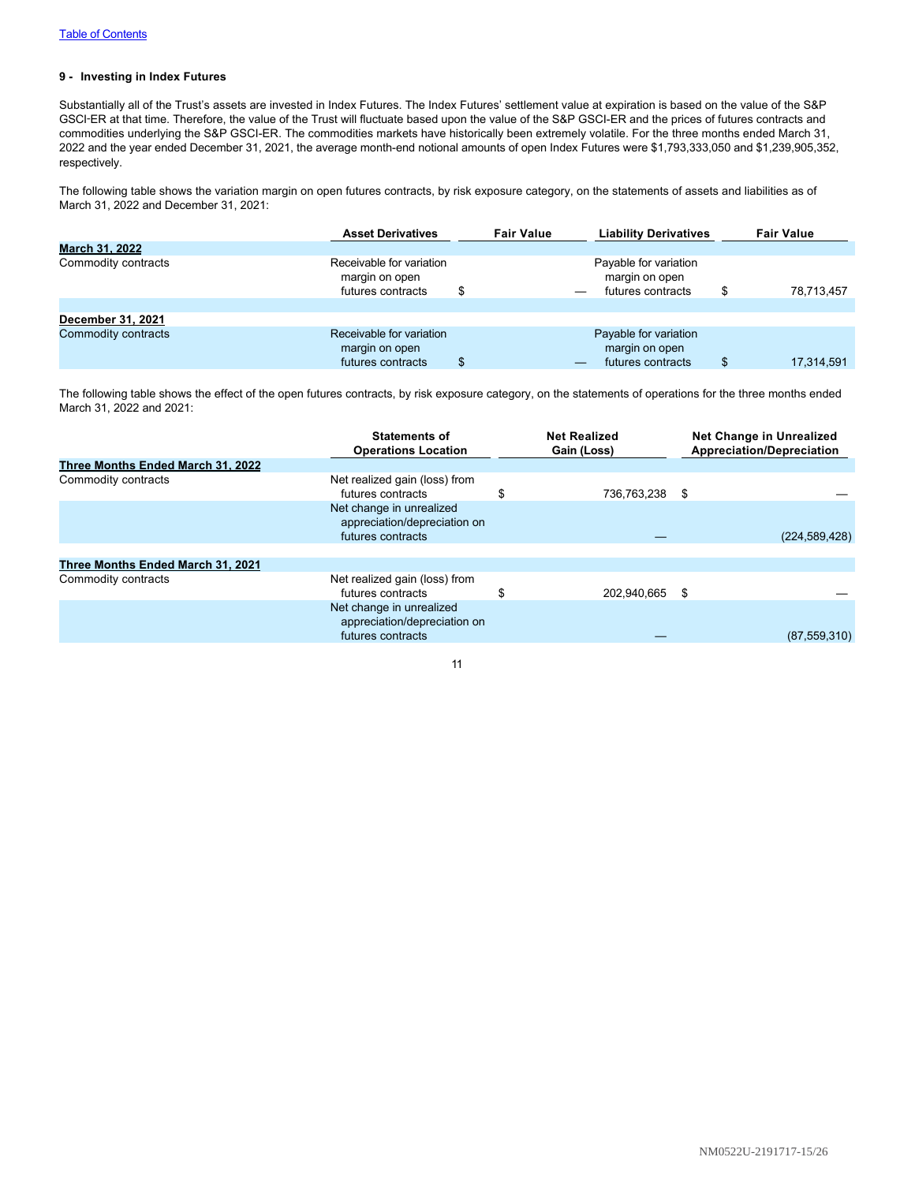## **9 - Investing in Index Futures**

Substantially all of the Trust's assets are invested in Index Futures. The Index Futures' settlement value at expiration is based on the value of the S&P GSCI-ER at that time. Therefore, the value of the Trust will fluctuate based upon the value of the S&P GSCI-ER and the prices of futures contracts and commodities underlying the S&P GSCI-ER. The commodities markets have historically been extremely volatile. For the three months ended March 31, 2022 and the year ended December 31, 2021, the average month-end notional amounts of open Index Futures were \$1,793,333,050 and \$1,239,905,352, respectively.

The following table shows the variation margin on open futures contracts, by risk exposure category, on the statements of assets and liabilities as of March 31, 2022 and December 31, 2021:

|                     | <b>Asset Derivatives</b>                                        | <b>Fair Value</b> | <b>Liability Derivatives</b>                                 | <b>Fair Value</b> |
|---------------------|-----------------------------------------------------------------|-------------------|--------------------------------------------------------------|-------------------|
| March 31, 2022      |                                                                 |                   |                                                              |                   |
| Commodity contracts | Receivable for variation<br>margin on open<br>futures contracts | \$                | Payable for variation<br>margin on open<br>futures contracts | 78,713,457        |
| December 31, 2021   |                                                                 |                   |                                                              |                   |
| Commodity contracts | Receivable for variation<br>margin on open<br>futures contracts | \$                | Payable for variation<br>margin on open<br>futures contracts | 17,314,591        |

The following table shows the effect of the open futures contracts, by risk exposure category, on the statements of operations for the three months ended March 31, 2022 and 2021:

|                                   | <b>Statements of</b><br><b>Operations Location</b>                            | <b>Net Realized</b><br>Gain (Loss) | <b>Net Change in Unrealized</b><br><b>Appreciation/Depreciation</b> |
|-----------------------------------|-------------------------------------------------------------------------------|------------------------------------|---------------------------------------------------------------------|
| Three Months Ended March 31, 2022 |                                                                               |                                    |                                                                     |
| Commodity contracts               | Net realized gain (loss) from<br>futures contracts                            | \$<br>736,763,238 \$               |                                                                     |
|                                   | Net change in unrealized<br>appreciation/depreciation on<br>futures contracts |                                    | (224, 589, 428)                                                     |
|                                   |                                                                               |                                    |                                                                     |
| Three Months Ended March 31, 2021 |                                                                               |                                    |                                                                     |
| Commodity contracts               | Net realized gain (loss) from<br>futures contracts                            | 202,940,665 \$                     |                                                                     |
|                                   | Net change in unrealized<br>appreciation/depreciation on<br>futures contracts |                                    | (87, 559, 310)                                                      |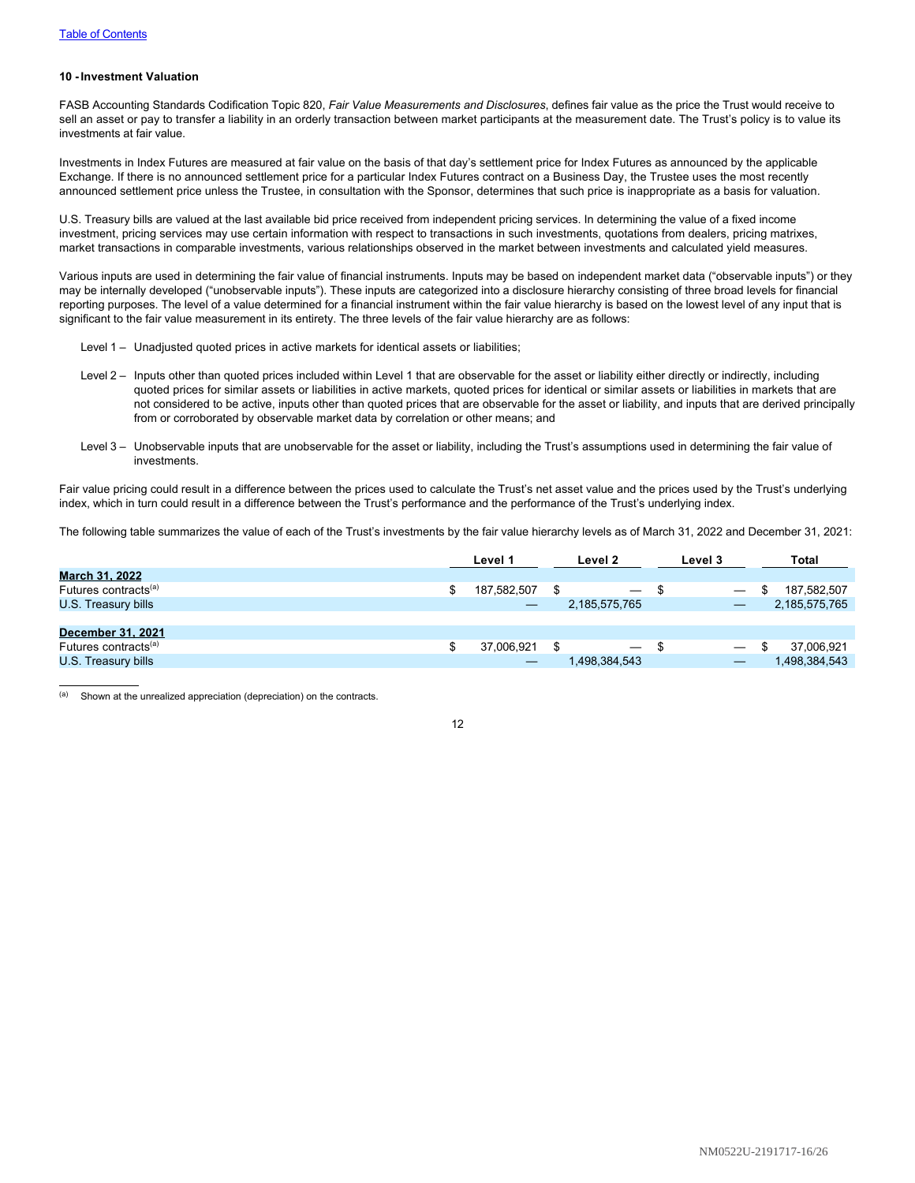## **10 -Investment Valuation**

FASB Accounting Standards Codification Topic 820, *Fair Value Measurements and Disclosures*, defines fair value as the price the Trust would receive to sell an asset or pay to transfer a liability in an orderly transaction between market participants at the measurement date. The Trust's policy is to value its investments at fair value.

Investments in Index Futures are measured at fair value on the basis of that day's settlement price for Index Futures as announced by the applicable Exchange. If there is no announced settlement price for a particular Index Futures contract on a Business Day, the Trustee uses the most recently announced settlement price unless the Trustee, in consultation with the Sponsor, determines that such price is inappropriate as a basis for valuation.

U.S. Treasury bills are valued at the last available bid price received from independent pricing services. In determining the value of a fixed income investment, pricing services may use certain information with respect to transactions in such investments, quotations from dealers, pricing matrixes, market transactions in comparable investments, various relationships observed in the market between investments and calculated yield measures.

Various inputs are used in determining the fair value of financial instruments. Inputs may be based on independent market data ("observable inputs") or they may be internally developed ("unobservable inputs"). These inputs are categorized into a disclosure hierarchy consisting of three broad levels for financial reporting purposes. The level of a value determined for a financial instrument within the fair value hierarchy is based on the lowest level of any input that is significant to the fair value measurement in its entirety. The three levels of the fair value hierarchy are as follows:

- Level 1 Unadjusted quoted prices in active markets for identical assets or liabilities;
- Level 2 Inputs other than quoted prices included within Level 1 that are observable for the asset or liability either directly or indirectly, including quoted prices for similar assets or liabilities in active markets, quoted prices for identical or similar assets or liabilities in markets that are not considered to be active, inputs other than quoted prices that are observable for the asset or liability, and inputs that are derived principally from or corroborated by observable market data by correlation or other means; and
- Level 3 Unobservable inputs that are unobservable for the asset or liability, including the Trust's assumptions used in determining the fair value of investments.

Fair value pricing could result in a difference between the prices used to calculate the Trust's net asset value and the prices used by the Trust's underlying index, which in turn could result in a difference between the Trust's performance and the performance of the Trust's underlying index.

The following table summarizes the value of each of the Trust's investments by the fair value hierarchy levels as of March 31, 2022 and December 31, 2021:

| Level 1 |             | Level 2 |                          | Level 3 |                          | Total |               |
|---------|-------------|---------|--------------------------|---------|--------------------------|-------|---------------|
|         |             |         |                          |         |                          |       |               |
|         | 187,582,507 |         | $\overline{\phantom{0}}$ | - \$    |                          |       | 187,582,507   |
|         |             |         | 2,185,575,765            |         |                          |       | 2,185,575,765 |
|         |             |         |                          |         |                          |       |               |
|         |             |         |                          |         |                          |       |               |
|         | 37,006,921  |         |                          | - \$    |                          |       | 37,006,921    |
|         |             |         | 1,498,384,543            |         |                          |       | 1,498,384,543 |
|         |             |         |                          |         | $\overline{\phantom{0}}$ |       |               |

(a) Shown at the unrealized appreciation (depreciation) on the contracts.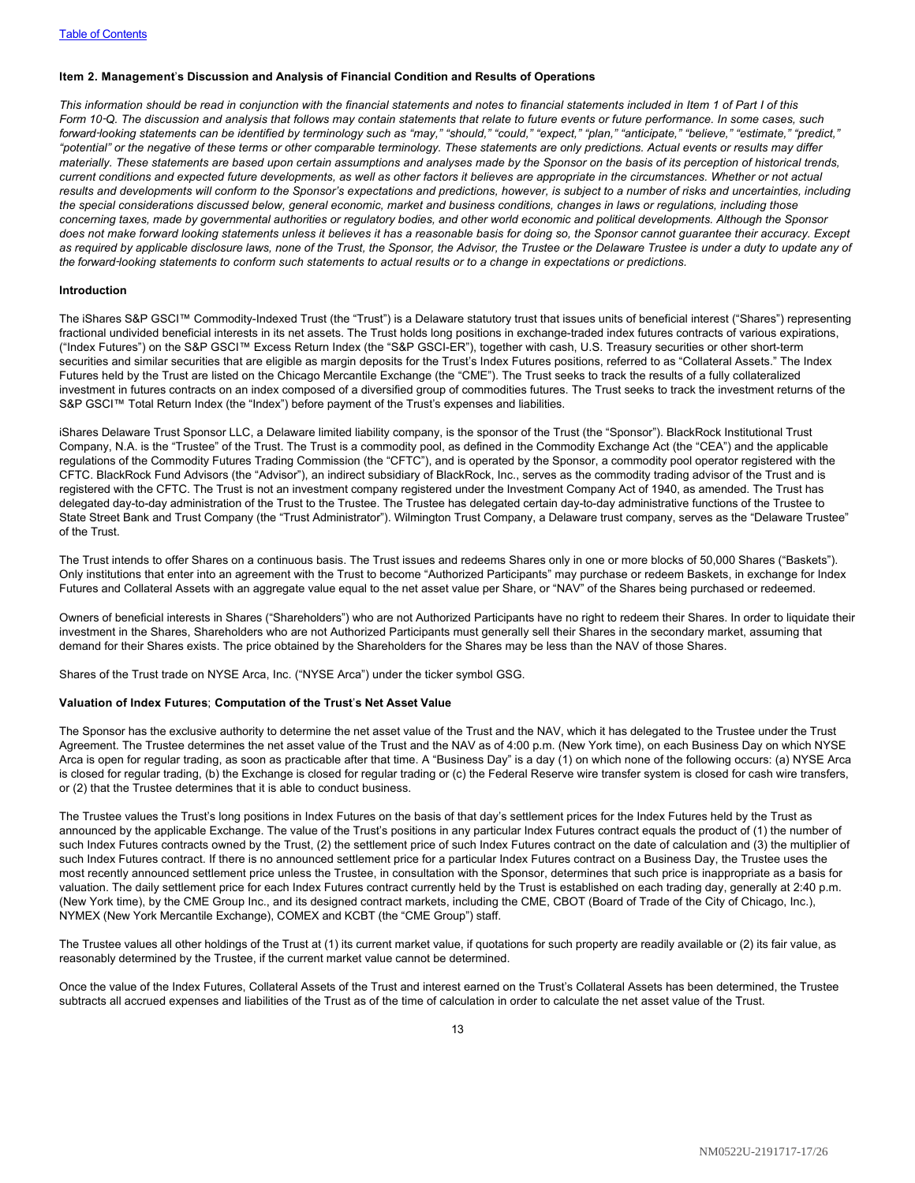## <span id="page-16-0"></span>**Item 2. Management**'**s Discussion and Analysis of Financial Condition and Results of Operations**

*This information should be read in conjunction with the financial statements and notes to financial statements included in Item 1 of Part I of this Form 10*‑*Q. The discussion and analysis that follows may contain statements that relate to future events or future performance. In some cases, such forward*‑*looking statements can be identified by terminology such as "may," "should," "could," "expect," "plan," "anticipate," "believe," "estimate," "predict," "potential" or the negative of these terms or other comparable terminology. These statements are only predictions. Actual events or results may differ materially. These statements are based upon certain assumptions and analyses made by the Sponsor on the basis of its perception of historical trends, current conditions and expected future developments, as well as other factors it believes are appropriate in the circumstances. Whether or not actual results and developments will conform to the Sponsor's expectations and predictions, however, is subject to a number of risks and uncertainties, including the special considerations discussed below, general economic, market and business conditions, changes in laws or regulations, including those concerning taxes, made by governmental authorities or regulatory bodies, and other world economic and political developments. Although the Sponsor does not make forward looking statements unless it believes it has a reasonable basis for doing so, the Sponsor cannot guarantee their accuracy. Except as required by applicable disclosure laws, none of the Trust, the Sponsor, the Advisor, the Trustee or the Delaware Trustee is under a duty to update any of the forward*‑*looking statements to conform such statements to actual results or to a change in expectations or predictions.*

#### **Introduction**

The iShares S&P GSCI™ Commodity-Indexed Trust (the "Trust") is a Delaware statutory trust that issues units of beneficial interest ("Shares") representing fractional undivided beneficial interests in its net assets. The Trust holds long positions in exchange-traded index futures contracts of various expirations, ("Index Futures") on the S&P GSCI™ Excess Return Index (the "S&P GSCI-ER"), together with cash, U.S. Treasury securities or other short-term securities and similar securities that are eligible as margin deposits for the Trust's Index Futures positions, referred to as "Collateral Assets." The Index Futures held by the Trust are listed on the Chicago Mercantile Exchange (the "CME"). The Trust seeks to track the results of a fully collateralized investment in futures contracts on an index composed of a diversified group of commodities futures. The Trust seeks to track the investment returns of the S&P GSCI™ Total Return Index (the "Index") before payment of the Trust's expenses and liabilities.

iShares Delaware Trust Sponsor LLC, a Delaware limited liability company, is the sponsor of the Trust (the "Sponsor"). BlackRock Institutional Trust Company, N.A. is the "Trustee" of the Trust. The Trust is a commodity pool, as defined in the Commodity Exchange Act (the "CEA") and the applicable regulations of the Commodity Futures Trading Commission (the "CFTC"), and is operated by the Sponsor, a commodity pool operator registered with the CFTC. BlackRock Fund Advisors (the "Advisor"), an indirect subsidiary of BlackRock, Inc., serves as the commodity trading advisor of the Trust and is registered with the CFTC. The Trust is not an investment company registered under the Investment Company Act of 1940, as amended. The Trust has delegated day-to-day administration of the Trust to the Trustee. The Trustee has delegated certain day-to-day administrative functions of the Trustee to State Street Bank and Trust Company (the "Trust Administrator"). Wilmington Trust Company, a Delaware trust company, serves as the "Delaware Trustee" of the Trust.

The Trust intends to offer Shares on a continuous basis. The Trust issues and redeems Shares only in one or more blocks of 50,000 Shares ("Baskets"). Only institutions that enter into an agreement with the Trust to become "Authorized Participants" may purchase or redeem Baskets, in exchange for Index Futures and Collateral Assets with an aggregate value equal to the net asset value per Share, or "NAV" of the Shares being purchased or redeemed.

Owners of beneficial interests in Shares ("Shareholders") who are not Authorized Participants have no right to redeem their Shares. In order to liquidate their investment in the Shares, Shareholders who are not Authorized Participants must generally sell their Shares in the secondary market, assuming that demand for their Shares exists. The price obtained by the Shareholders for the Shares may be less than the NAV of those Shares.

Shares of the Trust trade on NYSE Arca, Inc. ("NYSE Arca") under the ticker symbol GSG.

#### **Valuation of Index Futures**; **Computation of the Trust**'**s Net Asset Value**

The Sponsor has the exclusive authority to determine the net asset value of the Trust and the NAV, which it has delegated to the Trustee under the Trust Agreement. The Trustee determines the net asset value of the Trust and the NAV as of 4:00 p.m. (New York time), on each Business Day on which NYSE Arca is open for regular trading, as soon as practicable after that time. A "Business Day" is a day (1) on which none of the following occurs: (a) NYSE Arca is closed for regular trading, (b) the Exchange is closed for regular trading or (c) the Federal Reserve wire transfer system is closed for cash wire transfers, or (2) that the Trustee determines that it is able to conduct business.

The Trustee values the Trust's long positions in Index Futures on the basis of that day's settlement prices for the Index Futures held by the Trust as announced by the applicable Exchange. The value of the Trust's positions in any particular Index Futures contract equals the product of (1) the number of such Index Futures contracts owned by the Trust, (2) the settlement price of such Index Futures contract on the date of calculation and (3) the multiplier of such Index Futures contract. If there is no announced settlement price for a particular Index Futures contract on a Business Day, the Trustee uses the most recently announced settlement price unless the Trustee, in consultation with the Sponsor, determines that such price is inappropriate as a basis for valuation. The daily settlement price for each Index Futures contract currently held by the Trust is established on each trading day, generally at 2:40 p.m. (New York time), by the CME Group Inc., and its designed contract markets, including the CME, CBOT (Board of Trade of the City of Chicago, Inc.), NYMEX (New York Mercantile Exchange), COMEX and KCBT (the "CME Group") staff.

The Trustee values all other holdings of the Trust at (1) its current market value, if quotations for such property are readily available or (2) its fair value, as reasonably determined by the Trustee, if the current market value cannot be determined.

Once the value of the Index Futures, Collateral Assets of the Trust and interest earned on the Trust's Collateral Assets has been determined, the Trustee subtracts all accrued expenses and liabilities of the Trust as of the time of calculation in order to calculate the net asset value of the Trust.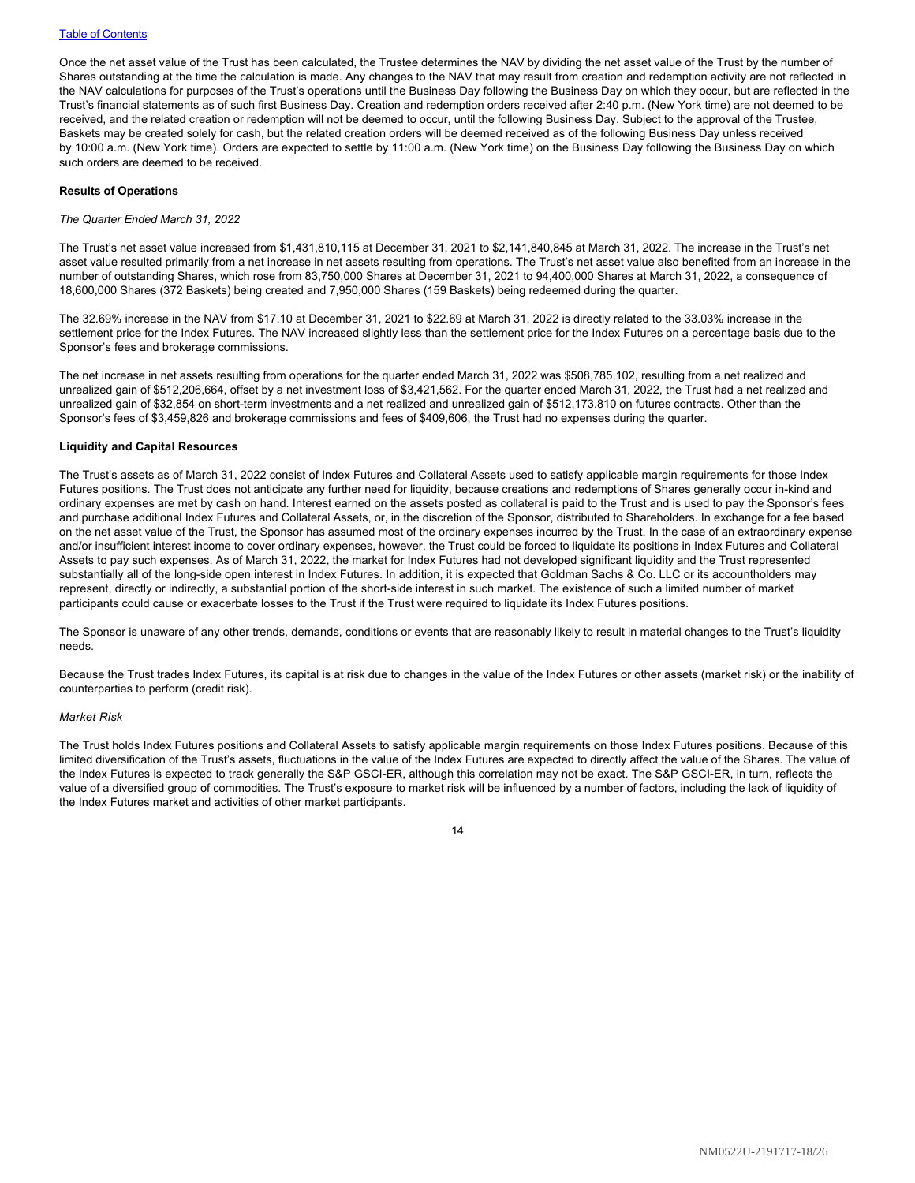Once the net asset value of the Trust has been calculated, the Trustee determines the NAV by dividing the net asset value of the Trust by the number of Shares outstanding at the time the calculation is made. Any changes to the NAV that may result from creation and redemption activity are not reflected in the NAV calculations for purposes of the Trust's operations until the Business Day following the Business Day on which they occur, but are reflected in the Trust's financial statements as of such first Business Day. Creation and redemption orders received after 2:40 p.m. (New York time) are not deemed to be received, and the related creation or redemption will not be deemed to occur, until the following Business Day. Subject to the approval of the Trustee, Baskets may be created solely for cash, but the related creation orders will be deemed received as of the following Business Day unless received by 10:00 a.m. (New York time). Orders are expected to settle by 11:00 a.m. (New York time) on the Business Day following the Business Day on which such orders are deemed to be received.

#### **Results of Operations**

#### *The Quarter Ended March 31, 2022*

The Trust's net asset value increased from \$1,431,810,115 at December 31, 2021 to \$2,141,840,845 at March 31, 2022. The increase in the Trust's net asset value resulted primarily from a net increase in net assets resulting from operations. The Trust's net asset value also benefited from an increase in the number of outstanding Shares, which rose from 83,750,000 Shares at December 31, 2021 to 94,400,000 Shares at March 31, 2022, a consequence of 18,600,000 Shares (372 Baskets) being created and 7,950,000 Shares (159 Baskets) being redeemed during the quarter.

The 32.69% increase in the NAV from \$17.10 at December 31, 2021 to \$22.69 at March 31, 2022 is directly related to the 33.03% increase in the settlement price for the Index Futures. The NAV increased slightly less than the settlement price for the Index Futures on a percentage basis due to the Sponsor's fees and brokerage commissions.

The net increase in net assets resulting from operations for the quarter ended March 31, 2022 was \$508,785,102, resulting from a net realized and unrealized gain of \$512,206,664, offset by a net investment loss of \$3,421,562. For the quarter ended March 31, 2022, the Trust had a net realized and unrealized gain of \$32,854 on short-term investments and a net realized and unrealized gain of \$512,173,810 on futures contracts. Other than the Sponsor's fees of \$3,459,826 and brokerage commissions and fees of \$409,606, the Trust had no expenses during the quarter.

#### **Liquidity and Capital Resources**

The Trust's assets as of March 31, 2022 consist of Index Futures and Collateral Assets used to satisfy applicable margin requirements for those Index Futures positions. The Trust does not anticipate any further need for liquidity, because creations and redemptions of Shares generally occur in-kind and ordinary expenses are met by cash on hand. Interest earned on the assets posted as collateral is paid to the Trust and is used to pay the Sponsor's fees and purchase additional Index Futures and Collateral Assets, or, in the discretion of the Sponsor, distributed to Shareholders. In exchange for a fee based on the net asset value of the Trust, the Sponsor has assumed most of the ordinary expenses incurred by the Trust. In the case of an extraordinary expense and/or insufficient interest income to cover ordinary expenses, however, the Trust could be forced to liquidate its positions in Index Futures and Collateral Assets to pay such expenses. As of March 31, 2022, the market for Index Futures had not developed significant liquidity and the Trust represented substantially all of the long-side open interest in Index Futures. In addition, it is expected that Goldman Sachs & Co. LLC or its accountholders may represent, directly or indirectly, a substantial portion of the short-side interest in such market. The existence of such a limited number of market participants could cause or exacerbate losses to the Trust if the Trust were required to liquidate its Index Futures positions.

The Sponsor is unaware of any other trends, demands, conditions or events that are reasonably likely to result in material changes to the Trust's liquidity needs.

Because the Trust trades Index Futures, its capital is at risk due to changes in the value of the Index Futures or other assets (market risk) or the inability of counterparties to perform (credit risk).

#### *Market Risk*

The Trust holds Index Futures positions and Collateral Assets to satisfy applicable margin requirements on those Index Futures positions. Because of this limited diversification of the Trust's assets, fluctuations in the value of the Index Futures are expected to directly affect the value of the Shares. The value of the Index Futures is expected to track generally the S&P GSCI-ER, although this correlation may not be exact. The S&P GSCI-ER, in turn, reflects the value of a diversified group of commodities. The Trust's exposure to market risk will be influenced by a number of factors, including the lack of liquidity of the Index Futures market and activities of other market participants.

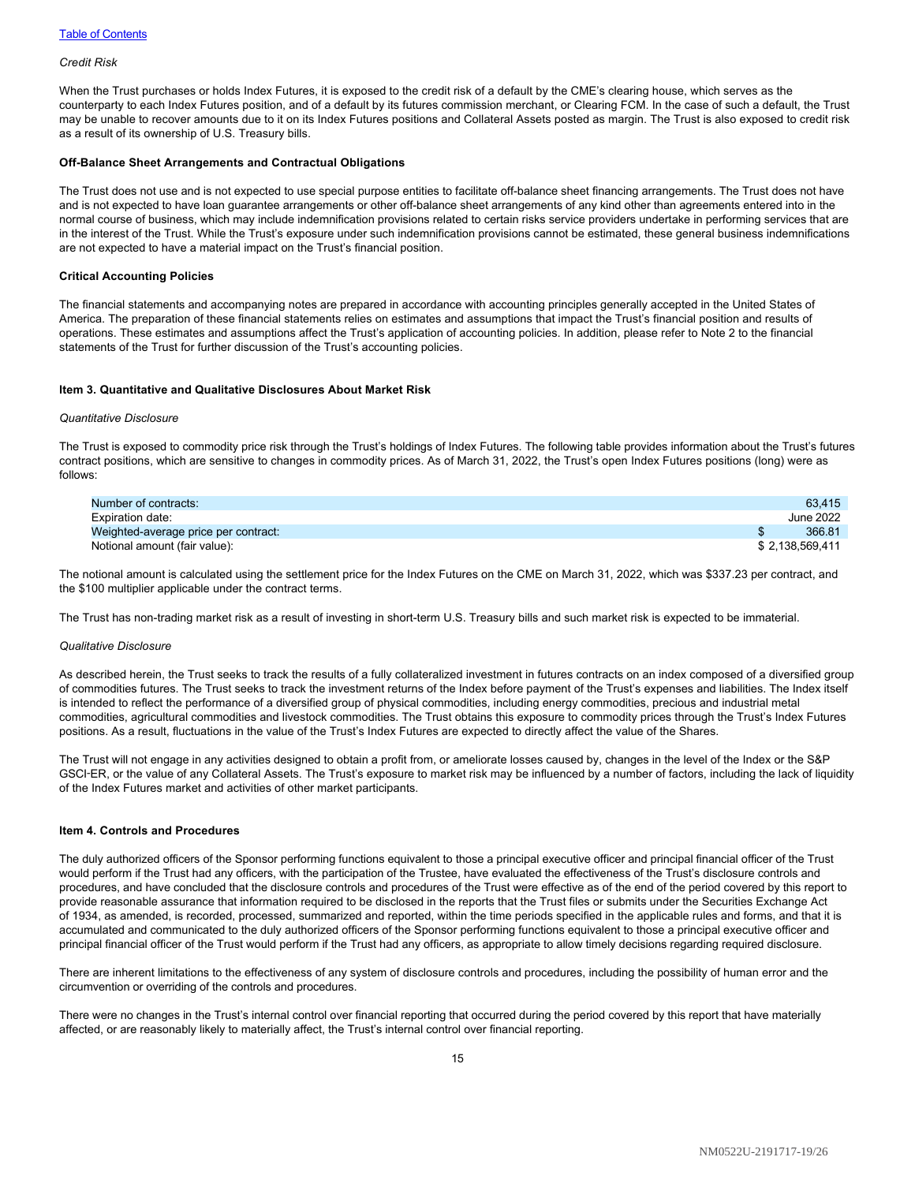#### *Credit Risk*

When the Trust purchases or holds Index Futures, it is exposed to the credit risk of a default by the CME's clearing house, which serves as the counterparty to each Index Futures position, and of a default by its futures commission merchant, or Clearing FCM. In the case of such a default, the Trust may be unable to recover amounts due to it on its Index Futures positions and Collateral Assets posted as margin. The Trust is also exposed to credit risk as a result of its ownership of U.S. Treasury bills.

#### **Off-Balance Sheet Arrangements and Contractual Obligations**

The Trust does not use and is not expected to use special purpose entities to facilitate off-balance sheet financing arrangements. The Trust does not have and is not expected to have loan guarantee arrangements or other off-balance sheet arrangements of any kind other than agreements entered into in the normal course of business, which may include indemnification provisions related to certain risks service providers undertake in performing services that are in the interest of the Trust. While the Trust's exposure under such indemnification provisions cannot be estimated, these general business indemnifications are not expected to have a material impact on the Trust's financial position.

#### **Critical Accounting Policies**

The financial statements and accompanying notes are prepared in accordance with accounting principles generally accepted in the United States of America. The preparation of these financial statements relies on estimates and assumptions that impact the Trust's financial position and results of operations. These estimates and assumptions affect the Trust's application of accounting policies. In addition, please refer to Note 2 to the financial statements of the Trust for further discussion of the Trust's accounting policies.

#### <span id="page-18-0"></span>**Item 3. Quantitative and Qualitative Disclosures About Market Risk**

#### *Quantitative Disclosure*

The Trust is exposed to commodity price risk through the Trust's holdings of Index Futures. The following table provides information about the Trust's futures contract positions, which are sensitive to changes in commodity prices. As of March 31, 2022, the Trust's open Index Futures positions (long) were as follows:

| Number of contracts:                 | 63.415          |
|--------------------------------------|-----------------|
| Expiration date:                     | June 2022       |
| Weighted-average price per contract: | 366.81          |
| Notional amount (fair value):        | \$2,138,569,411 |

The notional amount is calculated using the settlement price for the Index Futures on the CME on March 31, 2022, which was \$337.23 per contract, and the \$100 multiplier applicable under the contract terms.

The Trust has non-trading market risk as a result of investing in short-term U.S. Treasury bills and such market risk is expected to be immaterial.

#### *Qualitative Disclosure*

As described herein, the Trust seeks to track the results of a fully collateralized investment in futures contracts on an index composed of a diversified group of commodities futures. The Trust seeks to track the investment returns of the Index before payment of the Trust's expenses and liabilities. The Index itself is intended to reflect the performance of a diversified group of physical commodities, including energy commodities, precious and industrial metal commodities, agricultural commodities and livestock commodities. The Trust obtains this exposure to commodity prices through the Trust's Index Futures positions. As a result, fluctuations in the value of the Trust's Index Futures are expected to directly affect the value of the Shares.

The Trust will not engage in any activities designed to obtain a profit from, or ameliorate losses caused by, changes in the level of the Index or the S&P GSCI-ER, or the value of any Collateral Assets. The Trust's exposure to market risk may be influenced by a number of factors, including the lack of liquidity of the Index Futures market and activities of other market participants.

#### <span id="page-18-1"></span>**Item 4. Controls and Procedures**

The duly authorized officers of the Sponsor performing functions equivalent to those a principal executive officer and principal financial officer of the Trust would perform if the Trust had any officers, with the participation of the Trustee, have evaluated the effectiveness of the Trust's disclosure controls and procedures, and have concluded that the disclosure controls and procedures of the Trust were effective as of the end of the period covered by this report to provide reasonable assurance that information required to be disclosed in the reports that the Trust files or submits under the Securities Exchange Act of 1934, as amended, is recorded, processed, summarized and reported, within the time periods specified in the applicable rules and forms, and that it is accumulated and communicated to the duly authorized officers of the Sponsor performing functions equivalent to those a principal executive officer and principal financial officer of the Trust would perform if the Trust had any officers, as appropriate to allow timely decisions regarding required disclosure.

There are inherent limitations to the effectiveness of any system of disclosure controls and procedures, including the possibility of human error and the circumvention or overriding of the controls and procedures.

There were no changes in the Trust's internal control over financial reporting that occurred during the period covered by this report that have materially affected, or are reasonably likely to materially affect, the Trust's internal control over financial reporting.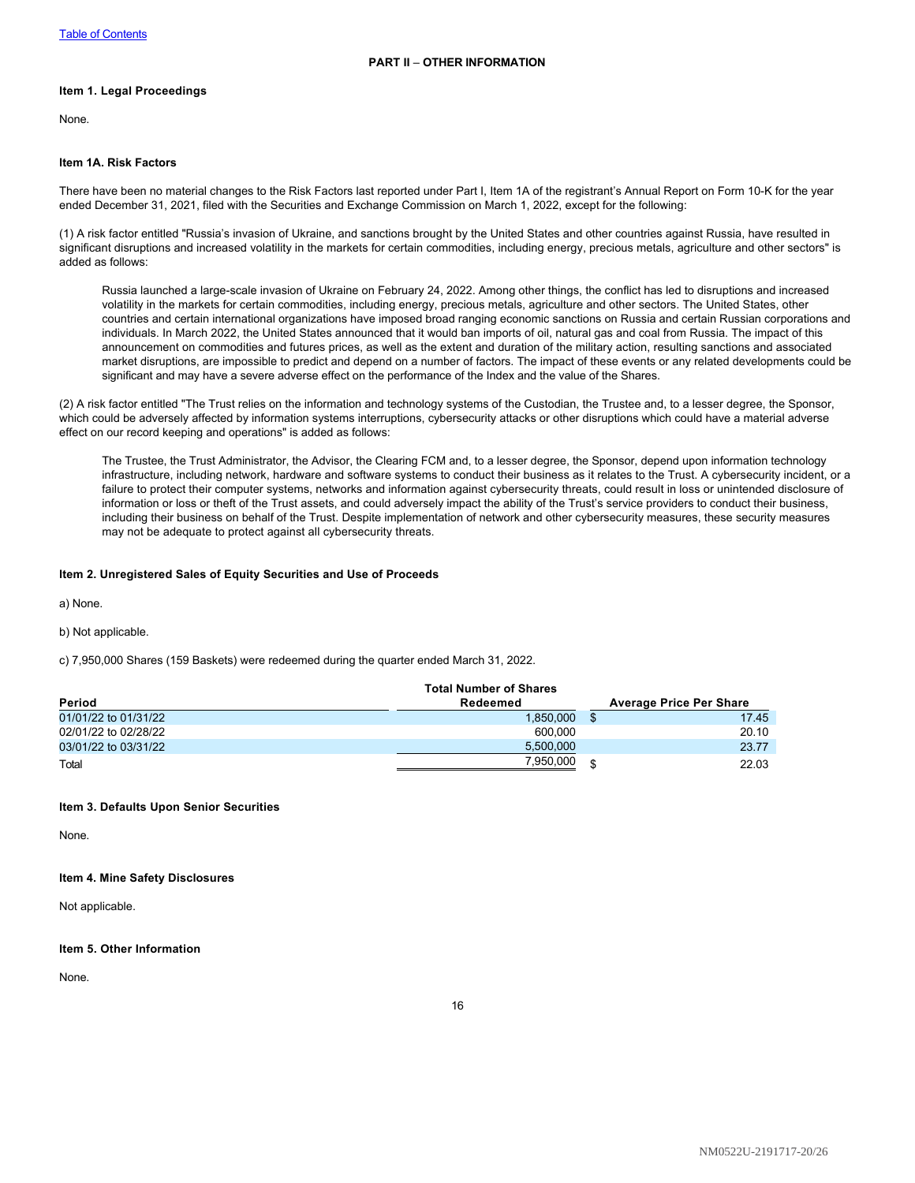## <span id="page-19-1"></span><span id="page-19-0"></span>**Item 1. Legal Proceedings**

None.

## <span id="page-19-2"></span>**Item 1A. Risk Factors**

There have been no material changes to the Risk Factors last reported under Part I, Item 1A of the registrant's Annual Report on Form 10-K for the year ended December 31, 2021, filed with the Securities and Exchange Commission on March 1, 2022, except for the following:

(1) A risk factor entitled "Russia's invasion of Ukraine, and sanctions brought by the United States and other countries against Russia, have resulted in significant disruptions and increased volatility in the markets for certain commodities, including energy, precious metals, agriculture and other sectors" is added as follows:

Russia launched a large-scale invasion of Ukraine on February 24, 2022. Among other things, the conflict has led to disruptions and increased volatility in the markets for certain commodities, including energy, precious metals, agriculture and other sectors. The United States, other countries and certain international organizations have imposed broad ranging economic sanctions on Russia and certain Russian corporations and individuals. In March 2022, the United States announced that it would ban imports of oil, natural gas and coal from Russia. The impact of this announcement on commodities and futures prices, as well as the extent and duration of the military action, resulting sanctions and associated market disruptions, are impossible to predict and depend on a number of factors. The impact of these events or any related developments could be significant and may have a severe adverse effect on the performance of the Index and the value of the Shares.

(2) A risk factor entitled "The Trust relies on the information and technology systems of the Custodian, the Trustee and, to a lesser degree, the Sponsor, which could be adversely affected by information systems interruptions, cybersecurity attacks or other disruptions which could have a material adverse effect on our record keeping and operations" is added as follows:

The Trustee, the Trust Administrator, the Advisor, the Clearing FCM and, to a lesser degree, the Sponsor, depend upon information technology infrastructure, including network, hardware and software systems to conduct their business as it relates to the Trust. A cybersecurity incident, or a failure to protect their computer systems, networks and information against cybersecurity threats, could result in loss or unintended disclosure of information or loss or theft of the Trust assets, and could adversely impact the ability of the Trust's service providers to conduct their business, including their business on behalf of the Trust. Despite implementation of network and other cybersecurity measures, these security measures may not be adequate to protect against all cybersecurity threats.

### <span id="page-19-3"></span>**Item 2. Unregistered Sales of Equity Securities and Use of Proceeds**

a) None.

b) Not applicable.

c) 7,950,000 Shares (159 Baskets) were redeemed during the quarter ended March 31, 2022.

| Period               | <b>Total Number of Shares</b><br>Redeemed |   | <b>Average Price Per Share</b> |
|----------------------|-------------------------------------------|---|--------------------------------|
|                      |                                           |   |                                |
| 01/01/22 to 01/31/22 | 1.850.000                                 |   | 17.45                          |
| 02/01/22 to 02/28/22 | 600.000                                   |   | 20.10                          |
| 03/01/22 to 03/31/22 | 5.500.000                                 |   | 23.77                          |
| Total                | 7,950,000                                 | S | 22.03                          |

## <span id="page-19-4"></span>**Item 3. Defaults Upon Senior Securities**

None.

## <span id="page-19-5"></span>**Item 4. Mine Safety Disclosures**

Not applicable.

## <span id="page-19-6"></span>**Item 5. Other Information**

None.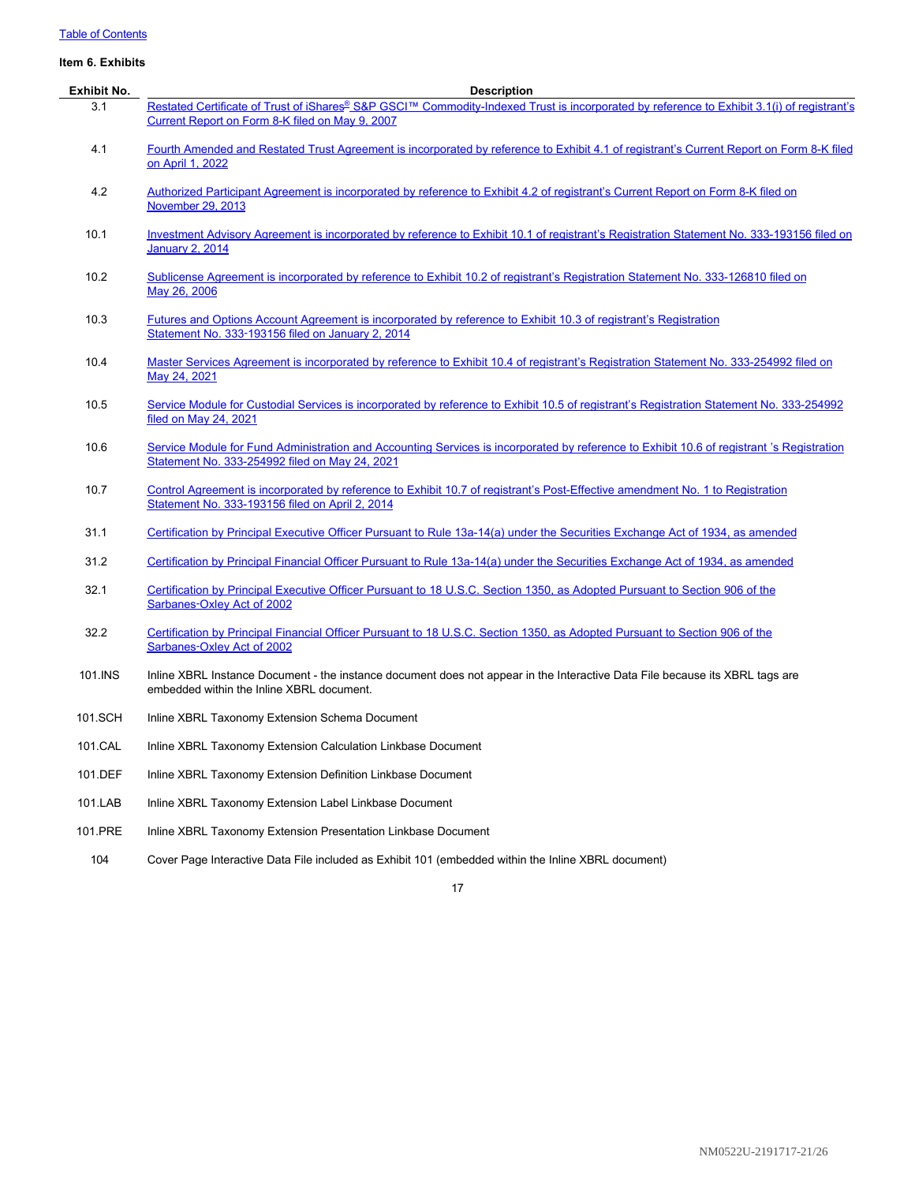## [Table of Contents](#page-2-0)

## <span id="page-20-0"></span>**Item 6. Exhibits**

| Exhibit No. | <b>Description</b>                                                                                                                                                                          |
|-------------|---------------------------------------------------------------------------------------------------------------------------------------------------------------------------------------------|
| 3.1         | Restated Certificate of Trust of iShares® S&P GSCI™ Commodity-Indexed Trust is incorporated by reference to Exhibit 3.1(i) of registrant's                                                  |
|             | Current Report on Form 8-K filed on May 9, 2007                                                                                                                                             |
| 4.1         | Fourth Amended and Restated Trust Agreement is incorporated by reference to Exhibit 4.1 of registrant's Current Report on Form 8-K filed<br>on April 1, 2022                                |
| 4.2         | Authorized Participant Agreement is incorporated by reference to Exhibit 4.2 of registrant's Current Report on Form 8-K filed on<br><b>November 29, 2013</b>                                |
| 10.1        | Investment Advisory Agreement is incorporated by reference to Exhibit 10.1 of registrant's Registration Statement No. 333-193156 filed on<br><b>January 2, 2014</b>                         |
| 10.2        | Sublicense Agreement is incorporated by reference to Exhibit 10.2 of registrant's Registration Statement No. 333-126810 filed on<br>May 26, 2006                                            |
| 10.3        | Futures and Options Account Agreement is incorporated by reference to Exhibit 10.3 of registrant's Registration<br>Statement No. 333-193156 filed on January 2, 2014                        |
| 10.4        | Master Services Agreement is incorporated by reference to Exhibit 10.4 of registrant's Registration Statement No. 333-254992 filed on                                                       |
|             | May 24, 2021                                                                                                                                                                                |
|             |                                                                                                                                                                                             |
| 10.5        | Service Module for Custodial Services is incorporated by reference to Exhibit 10.5 of registrant's Registration Statement No. 333-254992<br>filed on May 24, 2021                           |
| 10.6        | Service Module for Fund Administration and Accounting Services is incorporated by reference to Exhibit 10.6 of registrant 's Registration<br>Statement No. 333-254992 filed on May 24, 2021 |
| 10.7        | Control Agreement is incorporated by reference to Exhibit 10.7 of registrant's Post-Effective amendment No. 1 to Registration<br>Statement No. 333-193156 filed on April 2, 2014            |
| 31.1        | Certification by Principal Executive Officer Pursuant to Rule 13a-14(a) under the Securities Exchange Act of 1934, as amended                                                               |
| 31.2        | Certification by Principal Financial Officer Pursuant to Rule 13a-14(a) under the Securities Exchange Act of 1934, as amended                                                               |
| 32.1        | Certification by Principal Executive Officer Pursuant to 18 U.S.C. Section 1350, as Adopted Pursuant to Section 906 of the<br>Sarbanes-Oxley Act of 2002                                    |
| 32.2        | Certification by Principal Financial Officer Pursuant to 18 U.S.C. Section 1350, as Adopted Pursuant to Section 906 of the<br>Sarbanes-Oxley Act of 2002                                    |
| 101.INS     | Inline XBRL Instance Document - the instance document does not appear in the Interactive Data File because its XBRL tags are<br>embedded within the Inline XBRL document.                   |
| 101.SCH     | Inline XBRL Taxonomy Extension Schema Document                                                                                                                                              |
| 101.CAL     | Inline XBRL Taxonomy Extension Calculation Linkbase Document                                                                                                                                |
| 101.DEF     | Inline XBRL Taxonomy Extension Definition Linkbase Document                                                                                                                                 |
| 101.LAB     | Inline XBRL Taxonomy Extension Label Linkbase Document                                                                                                                                      |
| 101.PRE     | Inline XBRL Taxonomy Extension Presentation Linkbase Document                                                                                                                               |

104 Cover Page Interactive Data File included as Exhibit 101 (embedded within the Inline XBRL document)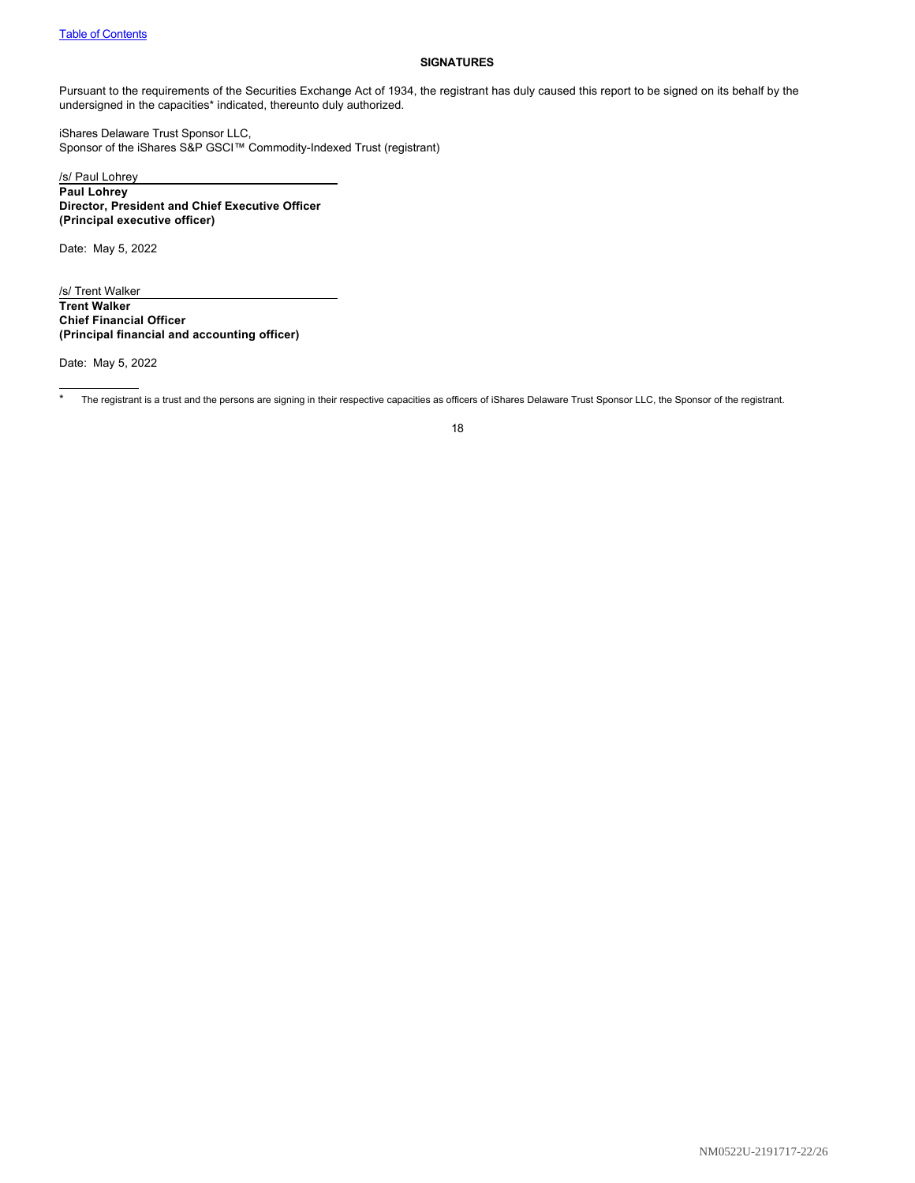## <span id="page-21-0"></span>**SIGNATURES**

Pursuant to the requirements of the Securities Exchange Act of 1934, the registrant has duly caused this report to be signed on its behalf by the undersigned in the capacities\* indicated, thereunto duly authorized.

iShares Delaware Trust Sponsor LLC, Sponsor of the iShares S&P GSCI™ Commodity-Indexed Trust (registrant)

/s/ Paul Lohrey **Paul Lohrey Director, President and Chief Executive Officer (Principal executive officer)**

Date: May 5, 2022

/s/ Trent Walker **Trent Walker Chief Financial Officer (Principal financial and accounting officer)**

Date: May 5, 2022

\* The registrant is a trust and the persons are signing in their respective capacities as officers of iShares Delaware Trust Sponsor LLC, the Sponsor of the registrant.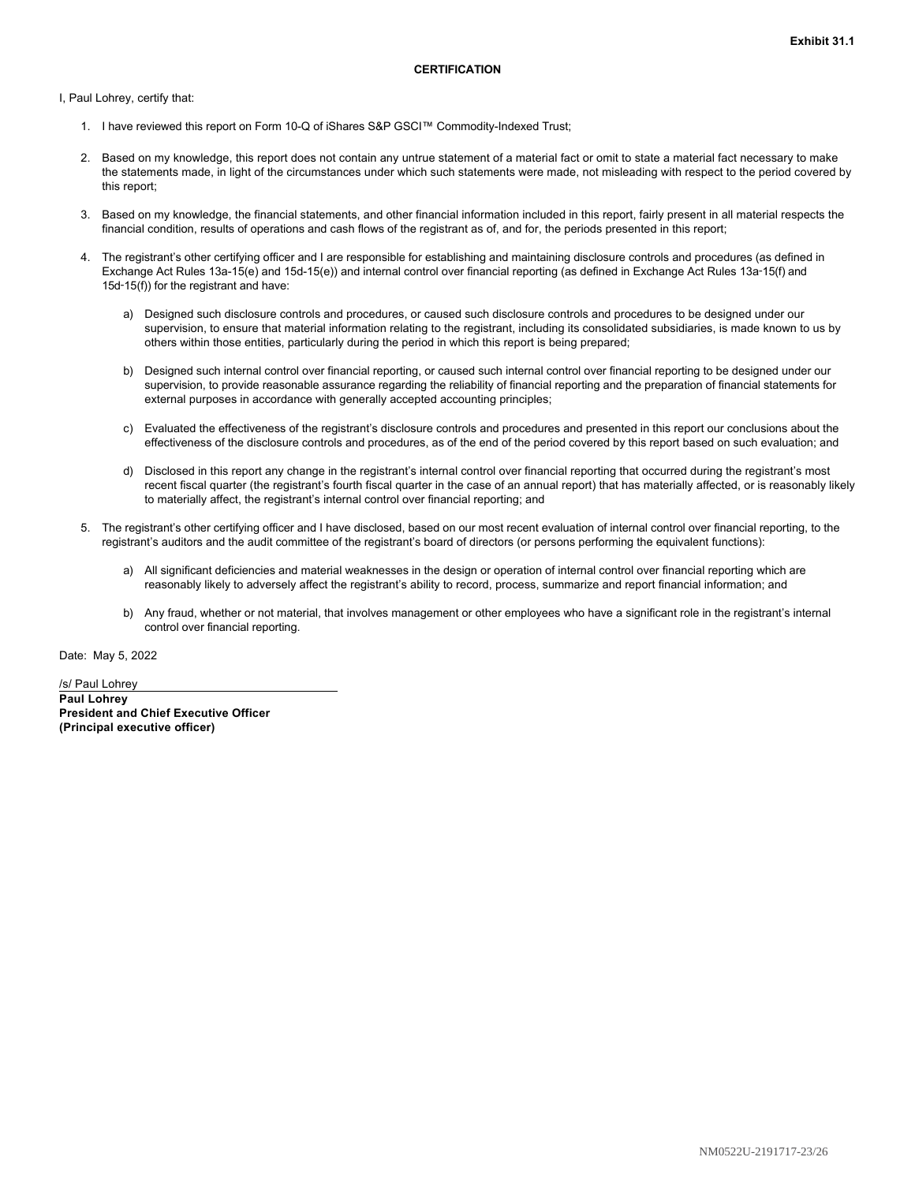#### **CERTIFICATION**

<span id="page-22-0"></span>I, Paul Lohrey, certify that:

- 1. I have reviewed this report on Form 10-Q of iShares S&P GSCI™ Commodity-Indexed Trust;
- 2. Based on my knowledge, this report does not contain any untrue statement of a material fact or omit to state a material fact necessary to make the statements made, in light of the circumstances under which such statements were made, not misleading with respect to the period covered by this report;
- 3. Based on my knowledge, the financial statements, and other financial information included in this report, fairly present in all material respects the financial condition, results of operations and cash flows of the registrant as of, and for, the periods presented in this report;
- 4. The registrant's other certifying officer and I are responsible for establishing and maintaining disclosure controls and procedures (as defined in Exchange Act Rules 13a-15(e) and 15d-15(e)) and internal control over financial reporting (as defined in Exchange Act Rules 13a-15(f) and 15d‑15(f)) for the registrant and have:
	- a) Designed such disclosure controls and procedures, or caused such disclosure controls and procedures to be designed under our supervision, to ensure that material information relating to the registrant, including its consolidated subsidiaries, is made known to us by others within those entities, particularly during the period in which this report is being prepared;
	- b) Designed such internal control over financial reporting, or caused such internal control over financial reporting to be designed under our supervision, to provide reasonable assurance regarding the reliability of financial reporting and the preparation of financial statements for external purposes in accordance with generally accepted accounting principles;
	- c) Evaluated the effectiveness of the registrant's disclosure controls and procedures and presented in this report our conclusions about the effectiveness of the disclosure controls and procedures, as of the end of the period covered by this report based on such evaluation; and
	- d) Disclosed in this report any change in the registrant's internal control over financial reporting that occurred during the registrant's most recent fiscal quarter (the registrant's fourth fiscal quarter in the case of an annual report) that has materially affected, or is reasonably likely to materially affect, the registrant's internal control over financial reporting; and
- 5. The registrant's other certifying officer and I have disclosed, based on our most recent evaluation of internal control over financial reporting, to the registrant's auditors and the audit committee of the registrant's board of directors (or persons performing the equivalent functions):
	- a) All significant deficiencies and material weaknesses in the design or operation of internal control over financial reporting which are reasonably likely to adversely affect the registrant's ability to record, process, summarize and report financial information; and
	- b) Any fraud, whether or not material, that involves management or other employees who have a significant role in the registrant's internal control over financial reporting.

Date: May 5, 2022

/s/ Paul Lohrey **Paul Lohrey President and Chief Executive Officer (Principal executive officer)**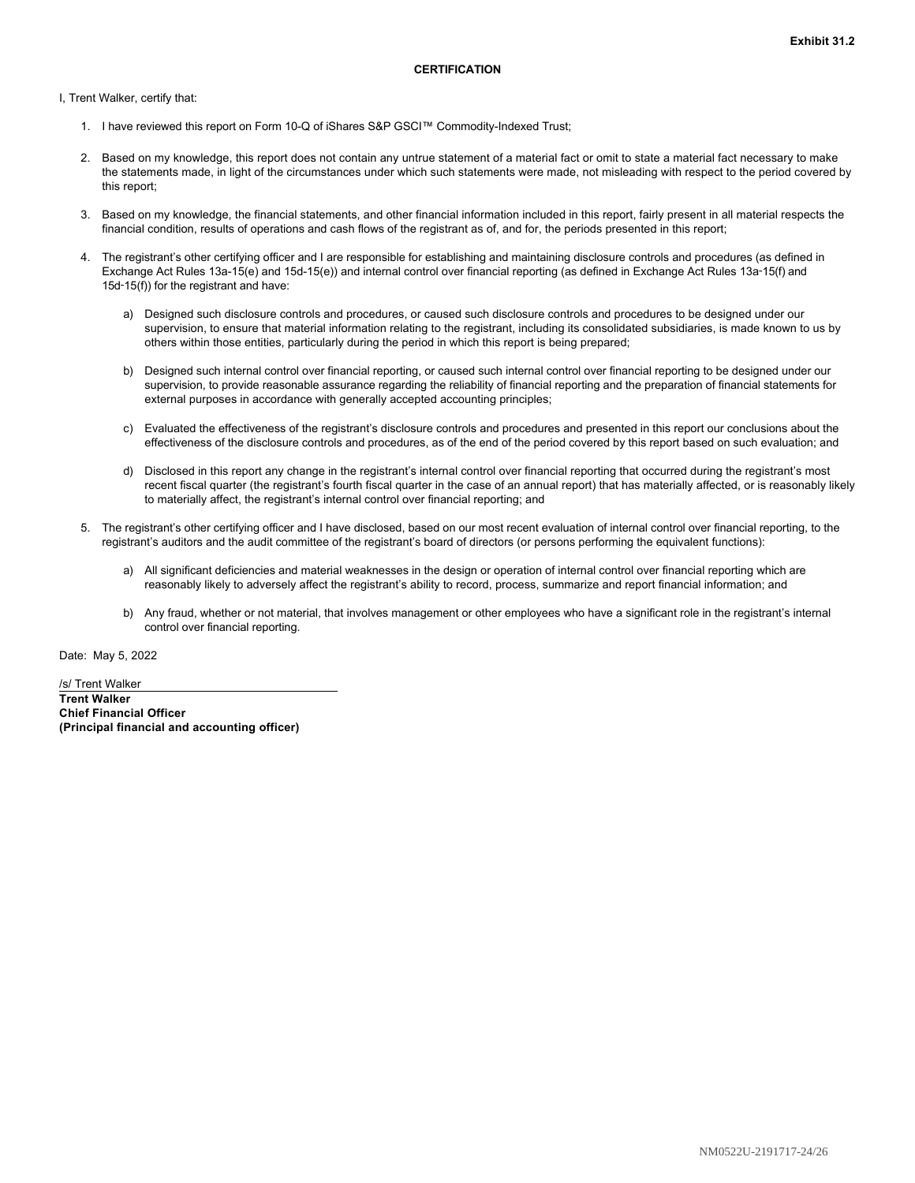#### **CERTIFICATION**

<span id="page-23-0"></span>I, Trent Walker, certify that:

- 1. I have reviewed this report on Form 10-Q of iShares S&P GSCI™ Commodity-Indexed Trust;
- 2. Based on my knowledge, this report does not contain any untrue statement of a material fact or omit to state a material fact necessary to make the statements made, in light of the circumstances under which such statements were made, not misleading with respect to the period covered by this report;
- 3. Based on my knowledge, the financial statements, and other financial information included in this report, fairly present in all material respects the financial condition, results of operations and cash flows of the registrant as of, and for, the periods presented in this report;
- 4. The registrant's other certifying officer and I are responsible for establishing and maintaining disclosure controls and procedures (as defined in Exchange Act Rules 13a-15(e) and 15d-15(e)) and internal control over financial reporting (as defined in Exchange Act Rules 13a-15(f) and 15d‑15(f)) for the registrant and have:
	- a) Designed such disclosure controls and procedures, or caused such disclosure controls and procedures to be designed under our supervision, to ensure that material information relating to the registrant, including its consolidated subsidiaries, is made known to us by others within those entities, particularly during the period in which this report is being prepared;
	- b) Designed such internal control over financial reporting, or caused such internal control over financial reporting to be designed under our supervision, to provide reasonable assurance regarding the reliability of financial reporting and the preparation of financial statements for external purposes in accordance with generally accepted accounting principles;
	- c) Evaluated the effectiveness of the registrant's disclosure controls and procedures and presented in this report our conclusions about the effectiveness of the disclosure controls and procedures, as of the end of the period covered by this report based on such evaluation; and
	- d) Disclosed in this report any change in the registrant's internal control over financial reporting that occurred during the registrant's most recent fiscal quarter (the registrant's fourth fiscal quarter in the case of an annual report) that has materially affected, or is reasonably likely to materially affect, the registrant's internal control over financial reporting; and
- 5. The registrant's other certifying officer and I have disclosed, based on our most recent evaluation of internal control over financial reporting, to the registrant's auditors and the audit committee of the registrant's board of directors (or persons performing the equivalent functions):
	- a) All significant deficiencies and material weaknesses in the design or operation of internal control over financial reporting which are reasonably likely to adversely affect the registrant's ability to record, process, summarize and report financial information; and
	- b) Any fraud, whether or not material, that involves management or other employees who have a significant role in the registrant's internal control over financial reporting.

Date: May 5, 2022

/s/ Trent Walker **Trent Walker Chief Financial Officer (Principal financial and accounting officer)**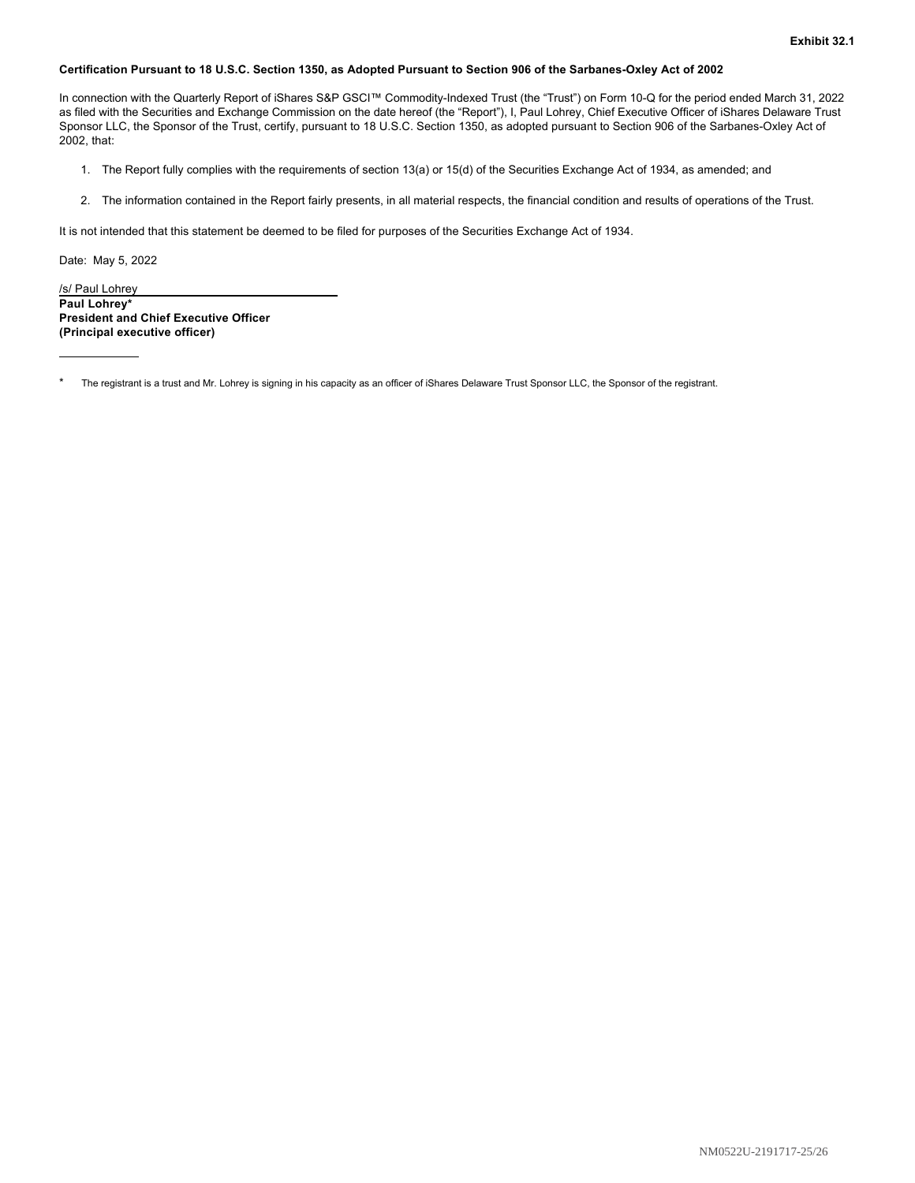#### <span id="page-24-0"></span>**Certification Pursuant to 18 U.S.C. Section 1350, as Adopted Pursuant to Section 906 of the Sarbanes-Oxley Act of 2002**

In connection with the Quarterly Report of iShares S&P GSCI™ Commodity-Indexed Trust (the "Trust") on Form 10-Q for the period ended March 31, 2022 as filed with the Securities and Exchange Commission on the date hereof (the "Report"), I, Paul Lohrey, Chief Executive Officer of iShares Delaware Trust Sponsor LLC, the Sponsor of the Trust, certify, pursuant to 18 U.S.C. Section 1350, as adopted pursuant to Section 906 of the Sarbanes-Oxley Act of 2002, that:

- 1. The Report fully complies with the requirements of section 13(a) or 15(d) of the Securities Exchange Act of 1934, as amended; and
- 2. The information contained in the Report fairly presents, in all material respects, the financial condition and results of operations of the Trust.

It is not intended that this statement be deemed to be filed for purposes of the Securities Exchange Act of 1934.

Date: May 5, 2022

/s/ Paul Lohrey **Paul Lohrey\* President and Chief Executive Officer (Principal executive officer)**

The registrant is a trust and Mr. Lohrey is signing in his capacity as an officer of iShares Delaware Trust Sponsor LLC, the Sponsor of the registrant.